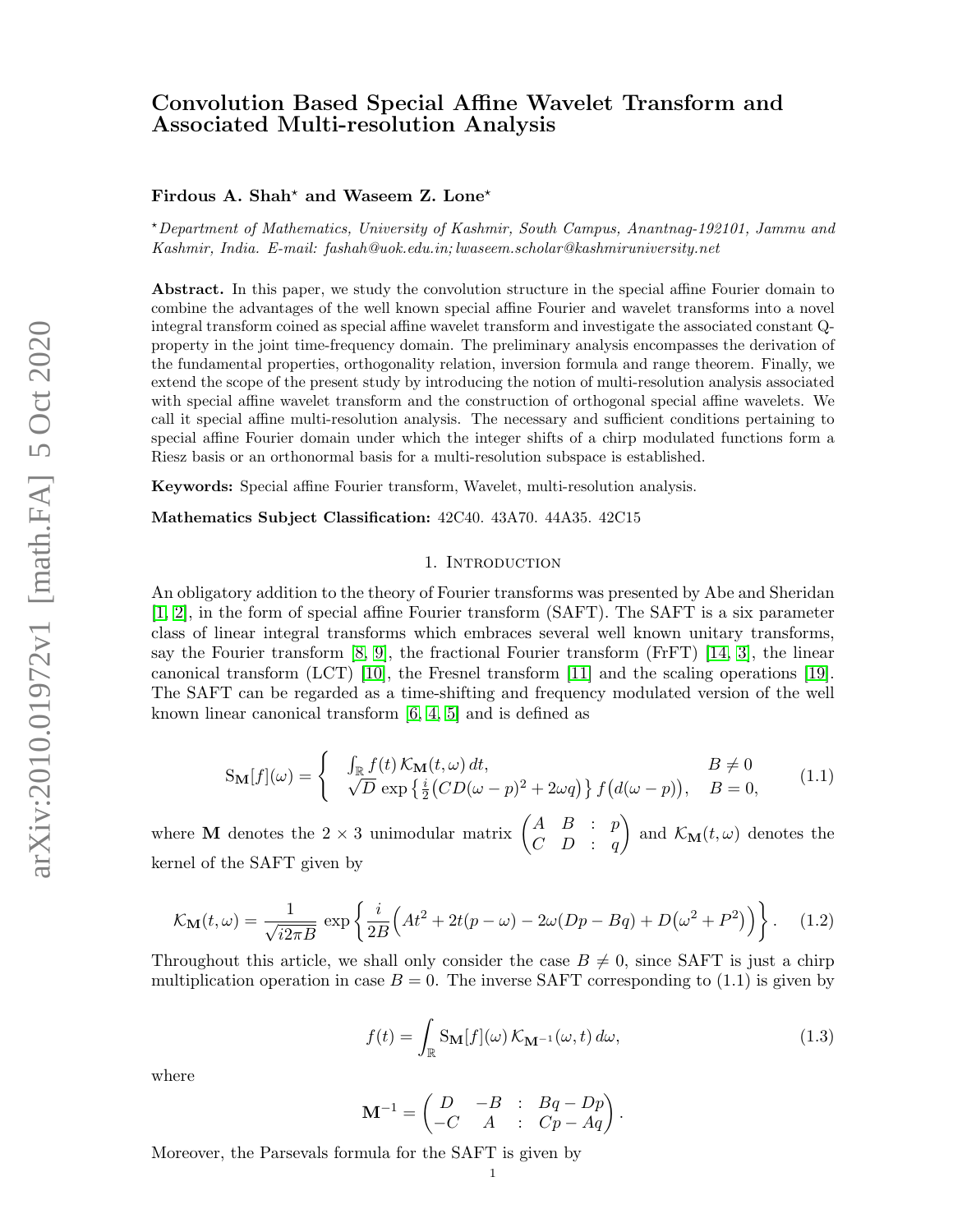# Convolution Based Special Affine Wavelet Transform and Associated Multi-resolution Analysis

## Firdous A. Shah<sup>\*</sup> and Waseem Z. Lone<sup>\*</sup>

?Department of Mathematics, University of Kashmir, South Campus, Anantnag-192101, Jammu and Kashmir, India. E-mail: fashah@uok.edu.in; lwaseem.scholar@kashmiruniversity.net

Abstract. In this paper, we study the convolution structure in the special affine Fourier domain to combine the advantages of the well known special affine Fourier and wavelet transforms into a novel integral transform coined as special affine wavelet transform and investigate the associated constant Qproperty in the joint time-frequency domain. The preliminary analysis encompasses the derivation of the fundamental properties, orthogonality relation, inversion formula and range theorem. Finally, we extend the scope of the present study by introducing the notion of multi-resolution analysis associated with special affine wavelet transform and the construction of orthogonal special affine wavelets. We call it special affine multi-resolution analysis. The necessary and sufficient conditions pertaining to special affine Fourier domain under which the integer shifts of a chirp modulated functions form a Riesz basis or an orthonormal basis for a multi-resolution subspace is established.

Keywords: Special affine Fourier transform, Wavelet, multi-resolution analysis.

Mathematics Subject Classification: 42C40. 43A70. 44A35. 42C15

### 1. INTRODUCTION

An obligatory addition to the theory of Fourier transforms was presented by Abe and Sheridan [\[1,](#page-23-0) [2\]](#page-23-1), in the form of special affine Fourier transform (SAFT). The SAFT is a six parameter class of linear integral transforms which embraces several well known unitary transforms, say the Fourier transform [\[8,](#page-23-2) [9\]](#page-23-3), the fractional Fourier transform (FrFT) [\[14,](#page-24-0) [3\]](#page-23-4), the linear canonical transform (LCT) [\[10\]](#page-23-5), the Fresnel transform [\[11\]](#page-23-6) and the scaling operations [\[19\]](#page-24-1). The SAFT can be regarded as a time-shifting and frequency modulated version of the well known linear canonical transform [\[6,](#page-23-7) [4,](#page-23-8) [5\]](#page-23-9) and is defined as

$$
S_{\mathbf{M}}[f](\omega) = \begin{cases} \int_{\mathbb{R}} f(t) \mathcal{K}_{\mathbf{M}}(t, \omega) dt, & B \neq 0 \\ \sqrt{D} \exp\left\{\frac{i}{2} (CD(\omega - p)^2 + 2\omega q)\right\} f\left(d(\omega - p)\right), & B = 0, \end{cases}
$$
(1.1)

where **M** denotes the  $2 \times 3$  unimodular matrix  $\begin{pmatrix} A & B & : & p \\ C & D & \end{pmatrix}$  $C$   $D$  :  $q$ ) and  $\mathcal{K}_{\mathbf{M}}(t,\omega)$  denotes the kernel of the SAFT given by

$$
\mathcal{K}_{\mathbf{M}}(t,\omega) = \frac{1}{\sqrt{i2\pi B}} \exp\left\{\frac{i}{2B} \left(At^2 + 2t(p-\omega) - 2\omega(Dp - Bq) + D(\omega^2 + P^2)\right)\right\}.
$$
 (1.2)

Throughout this article, we shall only consider the case  $B \neq 0$ , since SAFT is just a chirp multiplication operation in case  $B = 0$ . The inverse SAFT corresponding to (1.1) is given by

$$
f(t) = \int_{\mathbb{R}} S_{\mathbf{M}}[f](\omega) \mathcal{K}_{\mathbf{M}^{-1}}(\omega, t) d\omega,
$$
 (1.3)

where

$$
\mathbf{M}^{-1} = \begin{pmatrix} D & -B & \vdots & Bq - Dp \\ -C & A & \vdots & Cp - Aq \end{pmatrix}.
$$

Moreover, the Parsevals formula for the SAFT is given by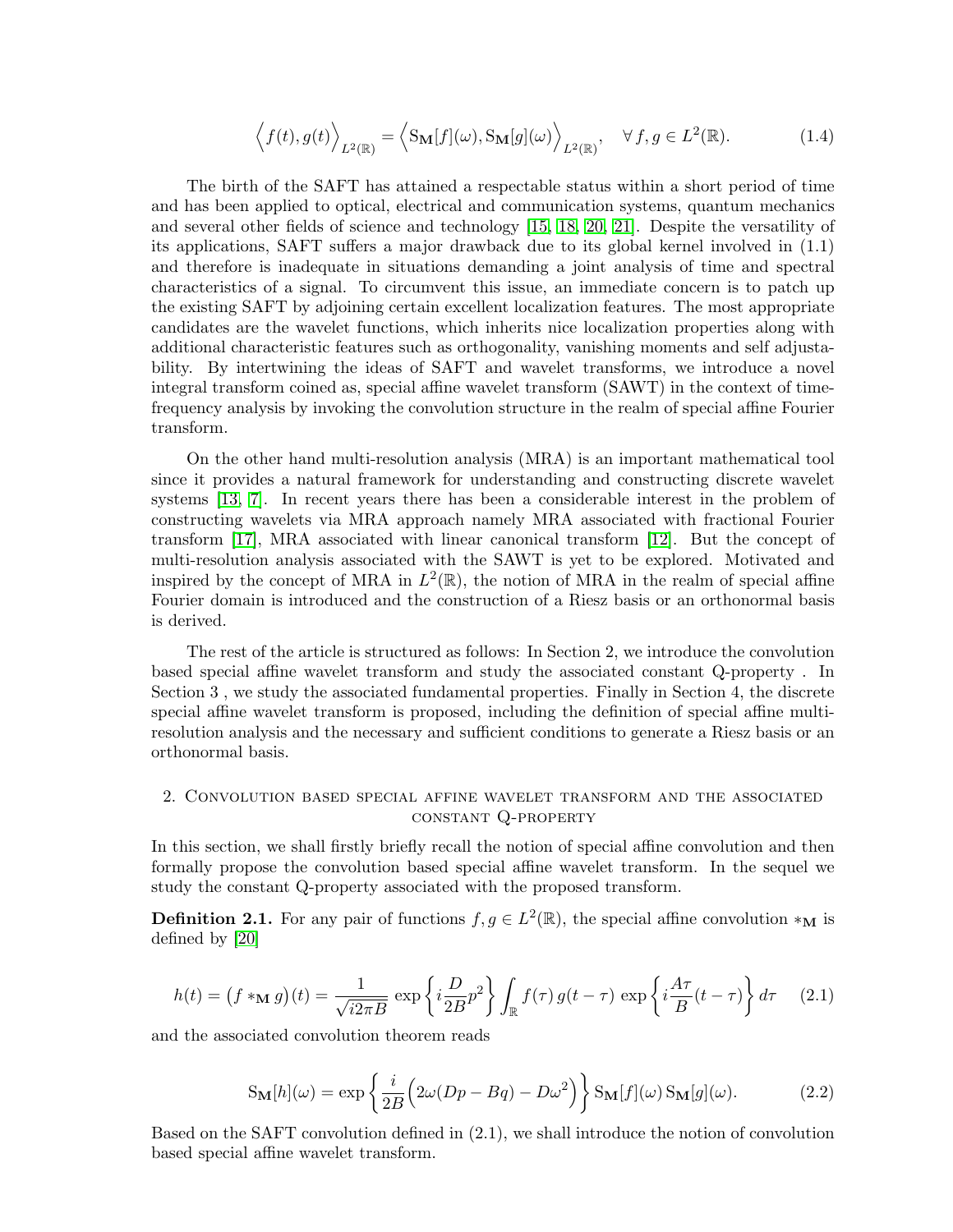$$
\left\langle f(t), g(t) \right\rangle_{L^2(\mathbb{R})} = \left\langle S_{\mathbf{M}}[f](\omega), S_{\mathbf{M}}[g](\omega) \right\rangle_{L^2(\mathbb{R})}, \quad \forall f, g \in L^2(\mathbb{R}). \tag{1.4}
$$

The birth of the SAFT has attained a respectable status within a short period of time and has been applied to optical, electrical and communication systems, quantum mechanics and several other fields of science and technology [\[15,](#page-24-2) [18,](#page-24-3) [20,](#page-24-4) [21\]](#page-24-5). Despite the versatility of its applications, SAFT suffers a major drawback due to its global kernel involved in (1.1) and therefore is inadequate in situations demanding a joint analysis of time and spectral characteristics of a signal. To circumvent this issue, an immediate concern is to patch up the existing SAFT by adjoining certain excellent localization features. The most appropriate candidates are the wavelet functions, which inherits nice localization properties along with additional characteristic features such as orthogonality, vanishing moments and self adjustability. By intertwining the ideas of SAFT and wavelet transforms, we introduce a novel integral transform coined as, special affine wavelet transform (SAWT) in the context of timefrequency analysis by invoking the convolution structure in the realm of special affine Fourier transform.

On the other hand multi-resolution analysis (MRA) is an important mathematical tool since it provides a natural framework for understanding and constructing discrete wavelet systems [\[13,](#page-23-10) [7\]](#page-23-11). In recent years there has been a considerable interest in the problem of constructing wavelets via MRA approach namely MRA associated with fractional Fourier transform [\[17\]](#page-24-6), MRA associated with linear canonical transform [\[12\]](#page-23-12). But the concept of multi-resolution analysis associated with the SAWT is yet to be explored. Motivated and inspired by the concept of MRA in  $L^2(\mathbb{R})$ , the notion of MRA in the realm of special affine Fourier domain is introduced and the construction of a Riesz basis or an orthonormal basis is derived.

The rest of the article is structured as follows: In Section 2, we introduce the convolution based special affine wavelet transform and study the associated constant Q-property . In Section 3 , we study the associated fundamental properties. Finally in Section 4, the discrete special affine wavelet transform is proposed, including the definition of special affine multiresolution analysis and the necessary and sufficient conditions to generate a Riesz basis or an orthonormal basis.

# 2. Convolution based special affine wavelet transform and the associated constant Q-property

In this section, we shall firstly briefly recall the notion of special affine convolution and then formally propose the convolution based special affine wavelet transform. In the sequel we study the constant Q-property associated with the proposed transform.

**Definition 2.1.** For any pair of functions  $f, g \in L^2(\mathbb{R})$ , the special affine convolution  $*_M$  is defined by [\[20\]](#page-24-4)

$$
h(t) = (f *_{\mathbf{M}} g)(t) = \frac{1}{\sqrt{i2\pi B}} \exp\left\{i\frac{D}{2B}p^2\right\} \int_{\mathbb{R}} f(\tau) g(t-\tau) \exp\left\{i\frac{A\tau}{B}(t-\tau)\right\} d\tau \tag{2.1}
$$

and the associated convolution theorem reads

$$
S_{\mathbf{M}}[h](\omega) = \exp\left\{\frac{i}{2B}\left(2\omega(Dp - Bq) - D\omega^2\right)\right\} S_{\mathbf{M}}[f](\omega) S_{\mathbf{M}}[g](\omega).
$$
 (2.2)

Based on the SAFT convolution defined in (2.1), we shall introduce the notion of convolution based special affine wavelet transform.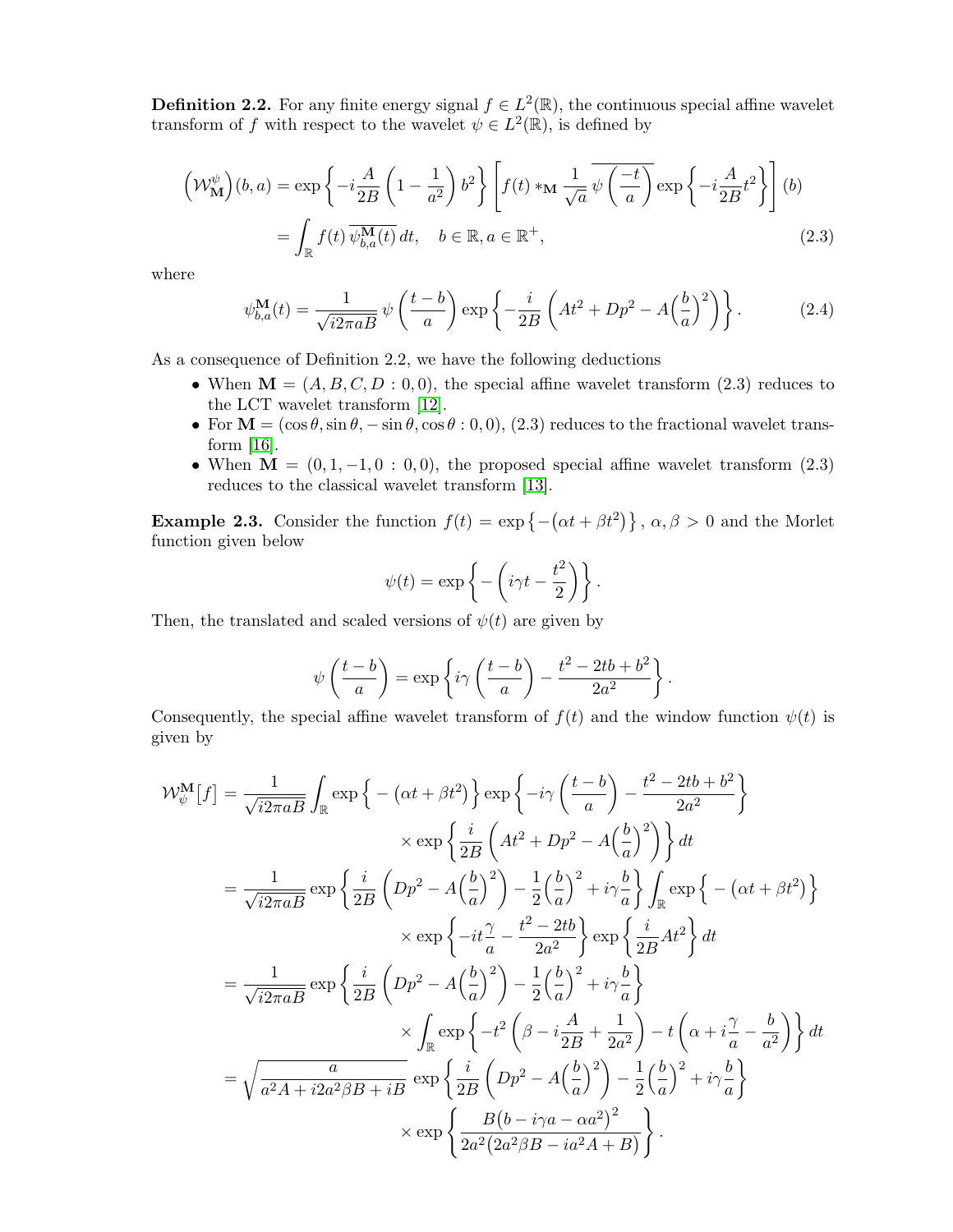**Definition 2.2.** For any finite energy signal  $f \in L^2(\mathbb{R})$ , the continuous special affine wavelet transform of f with respect to the wavelet  $\psi \in L^2(\mathbb{R})$ , is defined by

$$
\left(\mathcal{W}_{\mathbf{M}}^{\psi}\right)(b,a) = \exp\left\{-i\frac{A}{2B}\left(1-\frac{1}{a^2}\right)b^2\right\} \left[f(t) *_{\mathbf{M}} \frac{1}{\sqrt{a}}\overline{\psi\left(\frac{-t}{a}\right)} \exp\left\{-i\frac{A}{2B}t^2\right\}\right](b)
$$

$$
= \int_{\mathbb{R}} f(t) \overline{\psi_{b,a}^{\mathbf{M}}(t)} dt, \quad b \in \mathbb{R}, a \in \mathbb{R}^+, \tag{2.3}
$$

where

$$
\psi_{b,a}^{\mathbf{M}}(t) = \frac{1}{\sqrt{i2\pi aB}} \psi\left(\frac{t-b}{a}\right) \exp\left\{-\frac{i}{2B} \left(At^2 + Dp^2 - A\left(\frac{b}{a}\right)^2\right)\right\}.
$$
 (2.4)

As a consequence of Definition 2.2, we have the following deductions

- When  $\mathbf{M} = (A, B, C, D: 0, 0)$ , the special affine wavelet transform (2.3) reduces to the LCT wavelet transform [\[12\]](#page-23-12).
- For  $\mathbf{M} = (\cos \theta, \sin \theta, -\sin \theta, \cos \theta : 0, 0), (2.3)$  reduces to the fractional wavelet transform [\[16\]](#page-24-7).
- When  $\mathbf{M} = (0, 1, -1, 0, 0, 0)$ , the proposed special affine wavelet transform  $(2.3)$ reduces to the classical wavelet transform [\[13\]](#page-23-10).

**Example 2.3.** Consider the function  $f(t) = \exp\left\{-\left(\alpha t + \beta t^2\right)\right\}$ ,  $\alpha, \beta > 0$  and the Morlet function given below

$$
\psi(t) = \exp\left\{-\left(i\gamma t - \frac{t^2}{2}\right)\right\}.
$$

Then, the translated and scaled versions of  $\psi(t)$  are given by

$$
\psi\left(\frac{t-b}{a}\right) = \exp\left\{i\gamma\left(\frac{t-b}{a}\right) - \frac{t^2 - 2tb + b^2}{2a^2}\right\}.
$$

Consequently, the special affine wavelet transform of  $f(t)$  and the window function  $\psi(t)$  is given by

$$
\mathcal{W}_{\psi}^{\mathbf{M}}[f] = \frac{1}{\sqrt{i2\pi aB}} \int_{\mathbb{R}} \exp\left\{-\left(\alpha t + \beta t^{2}\right)\right\} \exp\left\{-i\gamma \left(\frac{t-b}{a}\right) - \frac{t^{2} - 2tb + b^{2}}{2a^{2}}\right\}
$$

$$
\times \exp\left\{\frac{i}{2B}\left(At^{2} + Dp^{2} - A\left(\frac{b}{a}\right)^{2}\right)\right\} dt
$$

$$
= \frac{1}{\sqrt{i2\pi aB}} \exp\left\{\frac{i}{2B}\left(Dp^{2} - A\left(\frac{b}{a}\right)^{2}\right) - \frac{1}{2}\left(\frac{b}{a}\right)^{2} + i\gamma \frac{b}{a}\right\} \int_{\mathbb{R}} \exp\left\{-\left(\alpha t + \beta t^{2}\right)\right\}
$$

$$
\times \exp\left\{-i t \frac{\gamma}{a} - \frac{t^{2} - 2tb}{2a^{2}}\right\} \exp\left\{\frac{i}{2B}At^{2}\right\} dt
$$

$$
= \frac{1}{\sqrt{i2\pi aB}} \exp\left\{\frac{i}{2B}\left(Dp^{2} - A\left(\frac{b}{a}\right)^{2}\right) - \frac{1}{2}\left(\frac{b}{a}\right)^{2} + i\gamma \frac{b}{a}\right\}
$$

$$
\times \int_{\mathbb{R}} \exp\left\{-t^{2}\left(\beta - i\frac{A}{2B} + \frac{1}{2a^{2}}\right) - t\left(\alpha + i\frac{\gamma}{a} - \frac{b}{a^{2}}\right)\right\} dt
$$

$$
= \sqrt{\frac{a}{a^{2}A + i2a^{2}\beta B + iB}} \exp\left\{\frac{i}{2B}\left(Dp^{2} - A\left(\frac{b}{a}\right)^{2}\right) - \frac{1}{2}\left(\frac{b}{a}\right)^{2} + i\gamma \frac{b}{a}\right\}
$$

$$
\times \exp\left\{\frac{B(b - i\gamma a - \alpha a^{2})^{2}}{2a^{2}(2a^{2}\beta B - ia^{2}A + B)}\right\}.
$$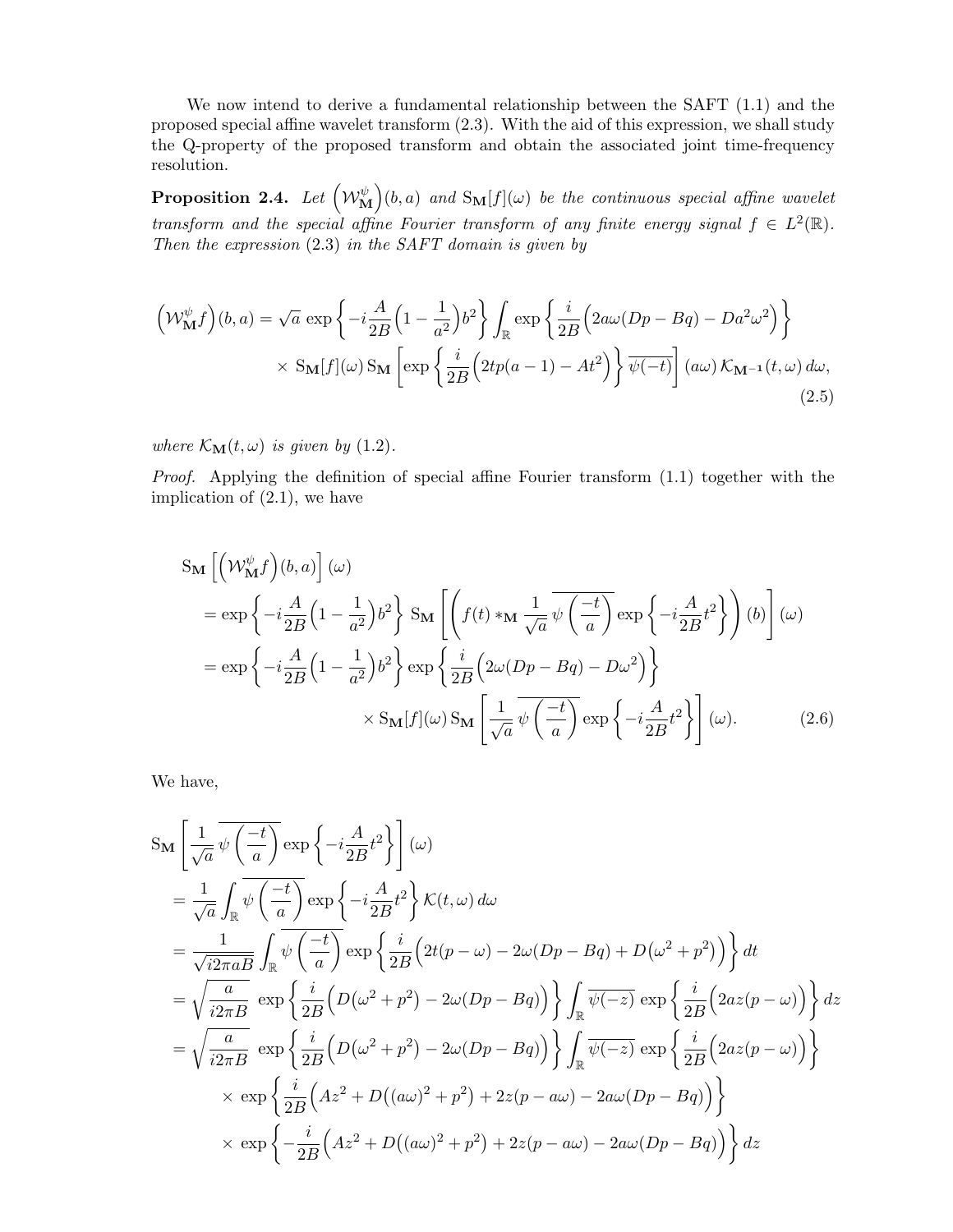We now intend to derive a fundamental relationship between the SAFT  $(1.1)$  and the proposed special affine wavelet transform (2.3). With the aid of this expression, we shall study the Q-property of the proposed transform and obtain the associated joint time-frequency resolution.

**Proposition 2.4.** Let  $(\mathcal{W}_{\mathbf{M}}^{\psi})(b, a)$  and  $S_{\mathbf{M}}[f](\omega)$  be the continuous special affine wavelet transform and the special affine Fourier transform of any finite energy signal  $f \in L^2(\mathbb{R})$ . Then the expression  $(2.3)$  in the SAFT domain is given by

$$
\left(\mathcal{W}_{\mathbf{M}}^{\psi}f\right)(b,a) = \sqrt{a} \exp\left\{-i\frac{A}{2B}\left(1-\frac{1}{a^2}\right)b^2\right\} \int_{\mathbb{R}} \exp\left\{\frac{i}{2B}\left(2a\omega(Dp - Bq) - Da^2\omega^2\right)\right\}
$$

$$
\times \mathcal{S}_{\mathbf{M}}[f](\omega)\mathcal{S}_{\mathbf{M}}\left[\exp\left\{\frac{i}{2B}\left(2tp(a-1) - At^2\right)\right\}\overline{\psi(-t)}\right](a\omega)\mathcal{K}_{\mathbf{M}^{-1}}(t,\omega)\,d\omega,\tag{2.5}
$$

where  $\mathcal{K}_{\mathbf{M}}(t,\omega)$  is given by (1.2).

Proof. Applying the definition of special affine Fourier transform (1.1) together with the implication of (2.1), we have

$$
S_{\mathbf{M}} \left[ \left( \mathcal{W}_{\mathbf{M}}^{\psi} f \right) (b, a) \right] (\omega)
$$
  
\n
$$
= \exp \left\{ -i \frac{A}{2B} \left( 1 - \frac{1}{a^2} \right) b^2 \right\} S_{\mathbf{M}} \left[ \left( f(t) *_{\mathbf{M}} \frac{1}{\sqrt{a}} \overline{\psi} \left( \frac{-t}{a} \right) \exp \left\{ -i \frac{A}{2B} t^2 \right\} \right) (b) \right] (\omega)
$$
  
\n
$$
= \exp \left\{ -i \frac{A}{2B} \left( 1 - \frac{1}{a^2} \right) b^2 \right\} \exp \left\{ \frac{i}{2B} \left( 2\omega (Dp - Bq) - D\omega^2 \right) \right\}
$$
  
\n
$$
\times S_{\mathbf{M}} [f] (\omega) S_{\mathbf{M}} \left[ \frac{1}{\sqrt{a}} \overline{\psi} \left( \frac{-t}{a} \right) \exp \left\{ -i \frac{A}{2B} t^2 \right\} \right] (\omega).
$$
 (2.6)

We have,

$$
S_{\mathbf{M}}\left[\frac{1}{\sqrt{a}}\overline{\psi\left(\frac{-t}{a}\right)}\exp\left\{-i\frac{A}{2B}t^{2}\right\}\right](\omega)
$$
  
\n
$$
=\frac{1}{\sqrt{a}}\int_{\mathbb{R}}\overline{\psi\left(\frac{-t}{a}\right)}\exp\left\{-i\frac{A}{2B}t^{2}\right\}\mathcal{K}(t,\omega)d\omega
$$
  
\n
$$
=\frac{1}{\sqrt{i2\pi aB}}\int_{\mathbb{R}}\overline{\psi\left(\frac{-t}{a}\right)}\exp\left\{\frac{i}{2B}\left(2t(p-\omega)-2\omega(Dp-Bq)+D(\omega^{2}+p^{2})\right)\right\}dt
$$
  
\n
$$
=\sqrt{\frac{a}{i2\pi B}}\exp\left\{\frac{i}{2B}\left(D(\omega^{2}+p^{2})-2\omega(Dp-Bq)\right)\right\}\int_{\mathbb{R}}\overline{\psi(-z)}\exp\left\{\frac{i}{2B}\left(2az(p-\omega)\right)\right\}dz
$$
  
\n
$$
=\sqrt{\frac{a}{i2\pi B}}\exp\left\{\frac{i}{2B}\left(D(\omega^{2}+p^{2})-2\omega(Dp-Bq)\right)\right\}\int_{\mathbb{R}}\overline{\psi(-z)}\exp\left\{\frac{i}{2B}\left(2az(p-\omega)\right)\right\}
$$
  
\n
$$
\times \exp\left\{\frac{i}{2B}\left(Az^{2}+D((a\omega)^{2}+p^{2})+2z(p-a\omega)-2a\omega(Dp-Bq)\right)\right\}
$$
  
\n
$$
\times \exp\left\{-\frac{i}{2B}\left(Az^{2}+D((a\omega)^{2}+p^{2})+2z(p-a\omega)-2a\omega(Dp-Bq)\right)\right\}dz
$$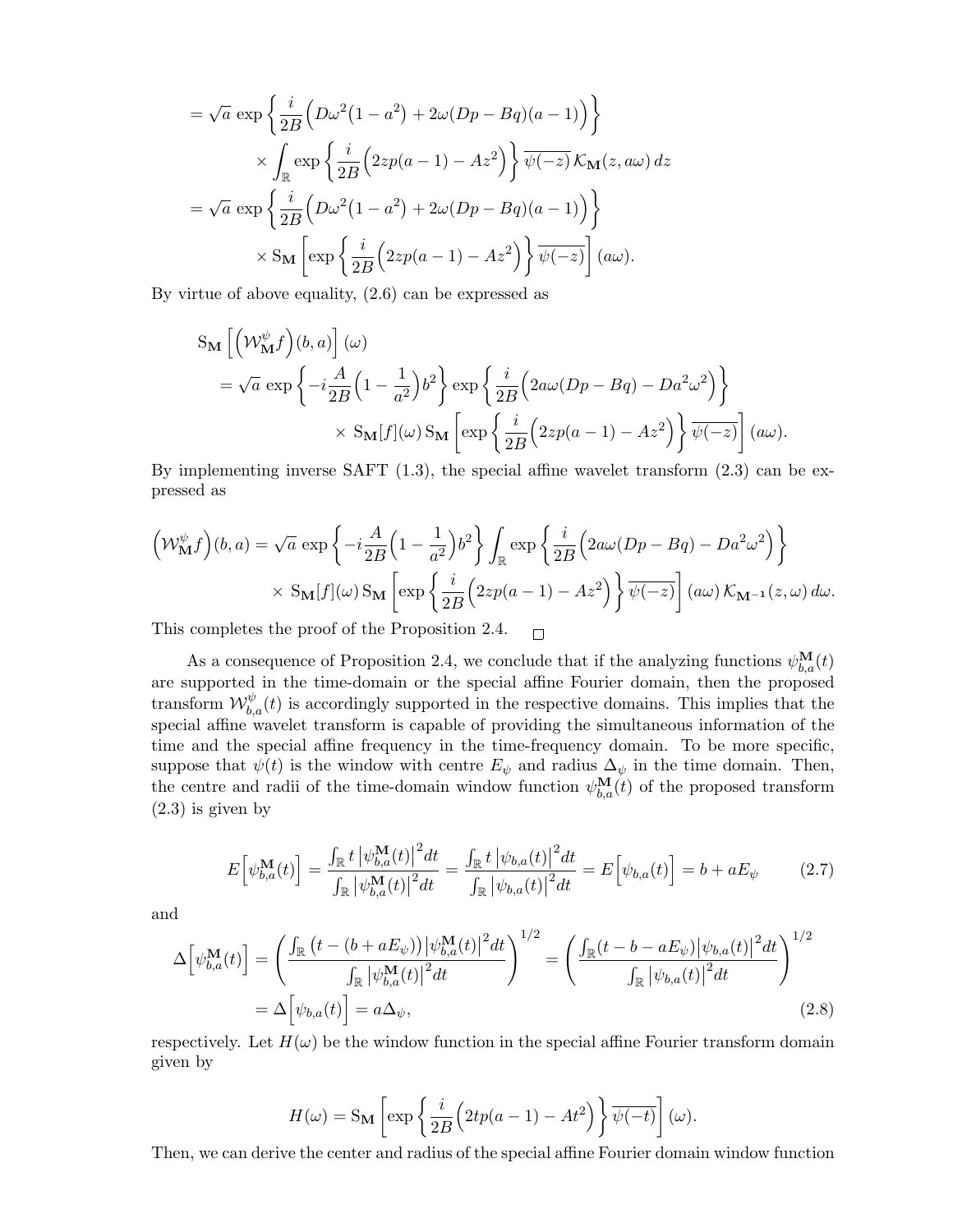$$
= \sqrt{a} \exp \left\{ \frac{i}{2B} \left( D\omega^2 (1 - a^2) + 2\omega (Dp - Bq)(a - 1) \right) \right\}
$$
  

$$
\times \int_{\mathbb{R}} \exp \left\{ \frac{i}{2B} \left( 2zp(a - 1) - Az^2 \right) \right\} \overline{\psi(-z)} \mathcal{K}_{\mathbf{M}}(z, a\omega) dz
$$
  

$$
= \sqrt{a} \exp \left\{ \frac{i}{2B} \left( D\omega^2 (1 - a^2) + 2\omega (Dp - Bq)(a - 1) \right) \right\}
$$
  

$$
\times S_{\mathbf{M}} \left[ \exp \left\{ \frac{i}{2B} \left( 2zp(a - 1) - Az^2 \right) \right\} \overline{\psi(-z)} \right] (a\omega).
$$

By virtue of above equality, (2.6) can be expressed as

$$
S_{\mathbf{M}} \left[ \left( \mathcal{W}_{\mathbf{M}}^{\psi} f \right) (b, a) \right] (\omega)
$$
  
=  $\sqrt{a} \exp \left\{ -i \frac{A}{2B} \left( 1 - \frac{1}{a^2} \right) b^2 \right\} \exp \left\{ \frac{i}{2B} \left( 2a\omega (Dp - Bq) - Da^2 \omega^2 \right) \right\}$   
 $\times S_{\mathbf{M}}[f](\omega) S_{\mathbf{M}} \left[ \exp \left\{ \frac{i}{2B} \left( 2zp(a-1) - Az^2 \right) \right\} \overline{\psi(-z)} \right] (a\omega).$ 

By implementing inverse SAFT (1.3), the special affine wavelet transform (2.3) can be expressed as

$$
\left(\mathcal{W}_{\mathbf{M}}^{\psi}f\right)(b,a) = \sqrt{a} \exp\left\{-i\frac{A}{2B}\left(1-\frac{1}{a^2}\right)b^2\right\} \int_{\mathbb{R}} \exp\left\{\frac{i}{2B}\left(2a\omega(Dp-Bq) - Da^2\omega^2\right)\right\}
$$

$$
\times S_{\mathbf{M}}[f](\omega) S_{\mathbf{M}}\left[\exp\left\{\frac{i}{2B}\left(2zp(a-1) - Az^2\right)\right\}\overline{\psi(-z)}\right](a\omega) \mathcal{K}_{\mathbf{M}^{-1}}(z,\omega) d\omega.
$$

This completes the proof of the Proposition 2.4.  $\Box$ 

As a consequence of Proposition 2.4, we conclude that if the analyzing functions  $\psi_{b,a}^{\mathbf{M}}(t)$ are supported in the time-domain or the special affine Fourier domain, then the proposed transform  $\mathcal{W}_{b,a}^{\psi}(t)$  is accordingly supported in the respective domains. This implies that the special affine wavelet transform is capable of providing the simultaneous information of the time and the special affine frequency in the time-frequency domain. To be more specific, suppose that  $\psi(t)$  is the window with centre  $E_{\psi}$  and radius  $\Delta_{\psi}$  in the time domain. Then, the centre and radii of the time-domain window function  $\psi_{b,a}^{\mathbf{M}}(t)$  of the proposed transform (2.3) is given by

$$
E\left[\psi_{b,a}^{\mathbf{M}}(t)\right] = \frac{\int_{\mathbb{R}} t \left|\psi_{b,a}^{\mathbf{M}}(t)\right|^2 dt}{\int_{\mathbb{R}} \left|\psi_{b,a}^{\mathbf{M}}(t)\right|^2 dt} = \frac{\int_{\mathbb{R}} t \left|\psi_{b,a}(t)\right|^2 dt}{\int_{\mathbb{R}} \left|\psi_{b,a}(t)\right|^2 dt} = E\left[\psi_{b,a}(t)\right] = b + aE_{\psi}
$$
(2.7)

and

$$
\Delta \left[ \psi_{b,a}^{\mathbf{M}}(t) \right] = \left( \frac{\int_{\mathbb{R}} \left( t - (b + aE_{\psi}) \right) \left| \psi_{b,a}^{\mathbf{M}}(t) \right|^2 dt}{\int_{\mathbb{R}} \left| \psi_{b,a}^{\mathbf{M}}(t) \right|^2 dt} \right)^{1/2} = \left( \frac{\int_{\mathbb{R}} (t - b - aE_{\psi}) \left| \psi_{b,a}(t) \right|^2 dt}{\int_{\mathbb{R}} \left| \psi_{b,a}(t) \right|^2 dt} \right)^{1/2}
$$
\n
$$
= \Delta \left[ \psi_{b,a}(t) \right] = a\Delta_{\psi}, \tag{2.8}
$$

respectively. Let  $H(\omega)$  be the window function in the special affine Fourier transform domain given by

$$
H(\omega) = S_{\mathbf{M}} \left[ \exp \left\{ \frac{i}{2B} \left( 2tp(a-1) - At^2 \right) \right\} \overline{\psi(-t)} \right] (\omega).
$$

Then, we can derive the center and radius of the special affine Fourier domain window function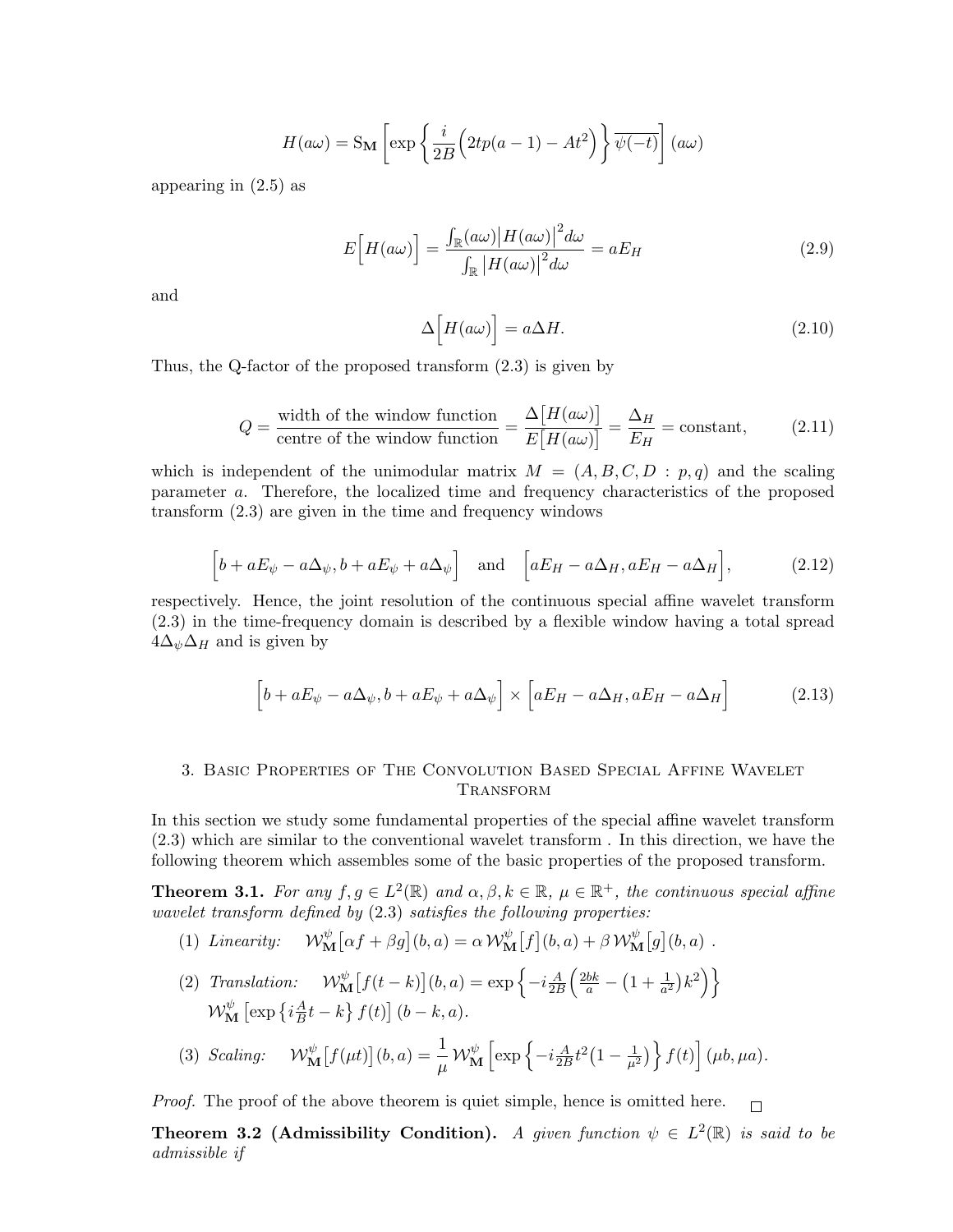$$
H(a\omega) = S_{\mathbf{M}} \left[ \exp \left\{ \frac{i}{2B} \left( 2tp(a-1) - At^2 \right) \right\} \overline{\psi(-t)} \right] (a\omega)
$$

appearing in (2.5) as

$$
E\Big[H(a\omega)\Big] = \frac{\int_{\mathbb{R}} (a\omega) |H(a\omega)|^2 d\omega}{\int_{\mathbb{R}} |H(a\omega)|^2 d\omega} = aE_H
$$
\n(2.9)

and

$$
\Delta \Big[ H(a\omega) \Big] = a\Delta H. \tag{2.10}
$$

Thus, the Q-factor of the proposed transform (2.3) is given by

$$
Q = \frac{\text{width of the window function}}{\text{centre of the window function}} = \frac{\Delta[H(a\omega)]}{E[H(a\omega)]} = \frac{\Delta_H}{E_H} = \text{constant},\tag{2.11}
$$

which is independent of the unimodular matrix  $M = (A, B, C, D : p, q)$  and the scaling parameter a. Therefore, the localized time and frequency characteristics of the proposed transform (2.3) are given in the time and frequency windows

$$
\[b + aE_{\psi} - a\Delta_{\psi}, b + aE_{\psi} + a\Delta_{\psi}\] \quad \text{and} \quad \left[aE_H - a\Delta_H, aE_H - a\Delta_H\right],\tag{2.12}
$$

respectively. Hence, the joint resolution of the continuous special affine wavelet transform (2.3) in the time-frequency domain is described by a flexible window having a total spread  $4\Delta_{\psi}\Delta_H$  and is given by

$$
\[b + aE_{\psi} - a\Delta_{\psi}, b + aE_{\psi} + a\Delta_{\psi}\] \times \[aE_H - a\Delta_H, aE_H - a\Delta_H\] \tag{2.13}
$$

## 3. Basic Properties of The Convolution Based Special Affine Wavelet **TRANSFORM**

In this section we study some fundamental properties of the special affine wavelet transform (2.3) which are similar to the conventional wavelet transform . In this direction, we have the following theorem which assembles some of the basic properties of the proposed transform.

**Theorem 3.1.** For any  $f, g \in L^2(\mathbb{R})$  and  $\alpha, \beta, k \in \mathbb{R}$ ,  $\mu \in \mathbb{R}^+$ , the continuous special affine wavelet transform defined by (2.3) satisfies the following properties:

- (1) Linearity:  $W_{\mathbf{M}}^{\psi} [\alpha f + \beta g](b, a) = \alpha W_{\mathbf{M}}^{\psi} [f](b, a) + \beta W_{\mathbf{M}}^{\psi} [g](b, a)$ .
- (2) Translation:  $\mathcal{W}_{\mathbf{M}}^{\psi}[f(t-k)](b,a) = \exp \left\{-i\frac{A}{2E}\right\}$  $\frac{A}{2B}\left(\frac{2bk}{a}-\left(1+\frac{1}{a^2}\right)k^2\right)\right\}$  $\mathcal{W}_{\mathbf{M}}^{\psi}$  [exp  $\big\{ i\frac{A}{B}$  $\frac{A}{B}t-k\Big\}\,f(t)\Big]\,(b-k,a).$

(3) Scaling: 
$$
W_{\mathbf{M}}^{\psi}[f(\mu t)](b, a) = \frac{1}{\mu} W_{\mathbf{M}}^{\psi} [\exp \left\{-i \frac{A}{2B} t^2 \left(1 - \frac{1}{\mu^2}\right)\right\} f(t)] (\mu b, \mu a).
$$

Proof. The proof of the above theorem is quiet simple, hence is omitted here.  $\Box$ 

**Theorem 3.2 (Admissibility Condition).** A given function  $\psi \in L^2(\mathbb{R})$  is said to be admissible if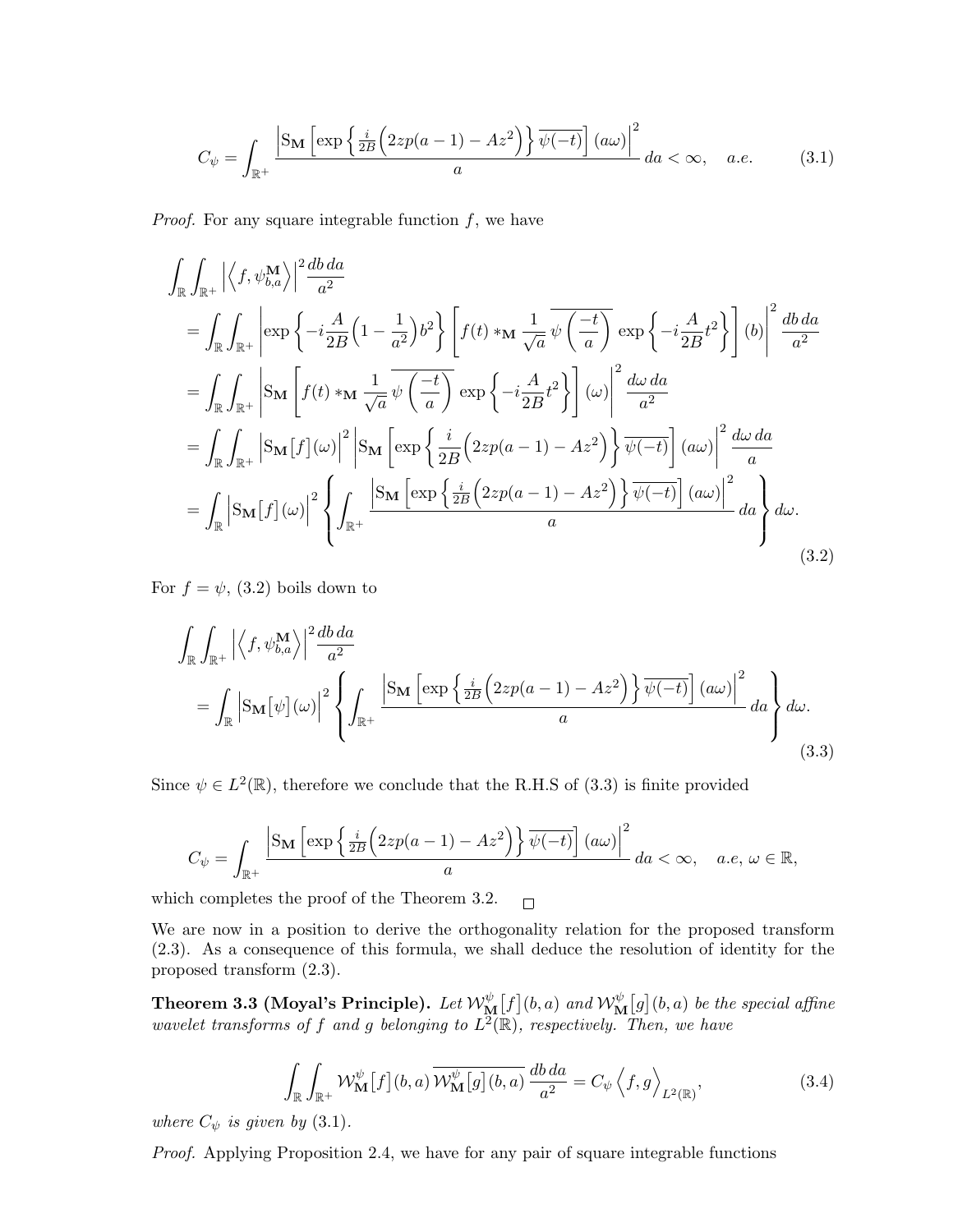$$
C_{\psi} = \int_{\mathbb{R}^+} \frac{\left| S_M \left[ \exp \left\{ \frac{i}{2B} \left( 2zp(a-1) - Az^2 \right) \right\} \overline{\psi(-t)} \right] (a\omega) \right|^2}{a} da < \infty, \quad a.e. \tag{3.1}
$$

*Proof.* For any square integrable function  $f$ , we have

$$
\int_{\mathbb{R}} \int_{\mathbb{R}^{+}} \left| \left\langle f, \psi_{b,a}^{\mathbf{M}} \right\rangle \right|^{2} \frac{db \, da}{a^{2}}
$$
\n
$$
= \int_{\mathbb{R}} \int_{\mathbb{R}^{+}} \left| \exp \left\{ -i \frac{A}{2B} \left( 1 - \frac{1}{a^{2}} \right) b^{2} \right\} \left[ f(t) *_{\mathbf{M}} \frac{1}{\sqrt{a}} \overline{\psi} \left( \frac{-t}{a} \right) \exp \left\{ -i \frac{A}{2B} t^{2} \right\} \right] (b) \right|^{2} \frac{db \, da}{a^{2}}
$$
\n
$$
= \int_{\mathbb{R}} \int_{\mathbb{R}^{+}} \left| S_{\mathbf{M}} \left[ f(t) *_{\mathbf{M}} \frac{1}{\sqrt{a}} \overline{\psi} \left( \frac{-t}{a} \right) \exp \left\{ -i \frac{A}{2B} t^{2} \right\} \right] (\omega) \right|^{2} \frac{d\omega \, da}{a^{2}}
$$
\n
$$
= \int_{\mathbb{R}} \int_{\mathbb{R}^{+}} \left| S_{\mathbf{M}} [f] (\omega) \right|^{2} \left| S_{\mathbf{M}} \left[ \exp \left\{ \frac{i}{2B} \left( 2zp(a-1) - Az^{2} \right) \right\} \overline{\psi} \left( -t \right) \right] (\omega \omega) \right|^{2} \frac{d\omega \, da}{a}
$$
\n
$$
= \int_{\mathbb{R}} \left| S_{\mathbf{M}} [f] (\omega) \right|^{2} \left\{ \int_{\mathbb{R}^{+}} \left| \frac{S_{\mathbf{M}} \left[ \exp \left\{ \frac{i}{2B} \left( 2zp(a-1) - Az^{2} \right) \right\} \overline{\psi} \left( -t \right) \right] (\omega \omega) \right|^{2} \, da} \right\} d\omega.
$$
\n(3.2)

For  $f = \psi$ , (3.2) boils down to

$$
\int_{\mathbb{R}} \int_{\mathbb{R}^{+}} \left| \left\langle f, \psi_{b,a}^{M} \right\rangle \right|^{2} \frac{db \, da}{a^{2}}
$$
\n
$$
= \int_{\mathbb{R}} \left| S_{M} [\psi](\omega) \right|^{2} \left\{ \int_{\mathbb{R}^{+}} \frac{\left| S_{M} \left[ \exp \left\{ \frac{i}{2B} \left( 2zp(a-1) - Az^{2} \right) \right\} \overline{\psi(-t)} \right] (a\omega) \right|^{2}}{a} da \right\} d\omega.
$$
\n(3.3)

Since  $\psi \in L^2(\mathbb{R})$ , therefore we conclude that the R.H.S of (3.3) is finite provided

$$
C_{\psi} = \int_{\mathbb{R}^+} \frac{\left| S_{\mathbf{M}} \left[ \exp \left\{ \frac{i}{2B} \left( 2zp(a-1) - Az^2 \right) \right\} \overline{\psi(-t)} \right] (a\omega) \right|^2}{a} da < \infty, \quad a.e, \, \omega \in \mathbb{R},
$$

which completes the proof of the Theorem 3.2.  $\Box$ 

We are now in a position to derive the orthogonality relation for the proposed transform (2.3). As a consequence of this formula, we shall deduce the resolution of identity for the proposed transform (2.3).

Theorem 3.3 (Moyal's Principle). Let  $\mathcal{W}_{\bf M}^{\psi}\big[f\big](b,a)$  and  $\mathcal{W}_{\bf M}^{\psi}\big[g\big](b,a)$  be the special affine wavelet transforms of f and g belonging to  $L^2(\mathbb{R})$ , respectively. Then, we have

$$
\int_{\mathbb{R}} \int_{\mathbb{R}^+} \mathcal{W}_{\mathbf{M}}^{\psi}[f](b, a) \overline{\mathcal{W}_{\mathbf{M}}^{\psi}[g](b, a)} \frac{db \, da}{a^2} = C_{\psi} \left\langle f, g \right\rangle_{L^2(\mathbb{R})},\tag{3.4}
$$

where  $C_{\psi}$  is given by (3.1).

Proof. Applying Proposition 2.4, we have for any pair of square integrable functions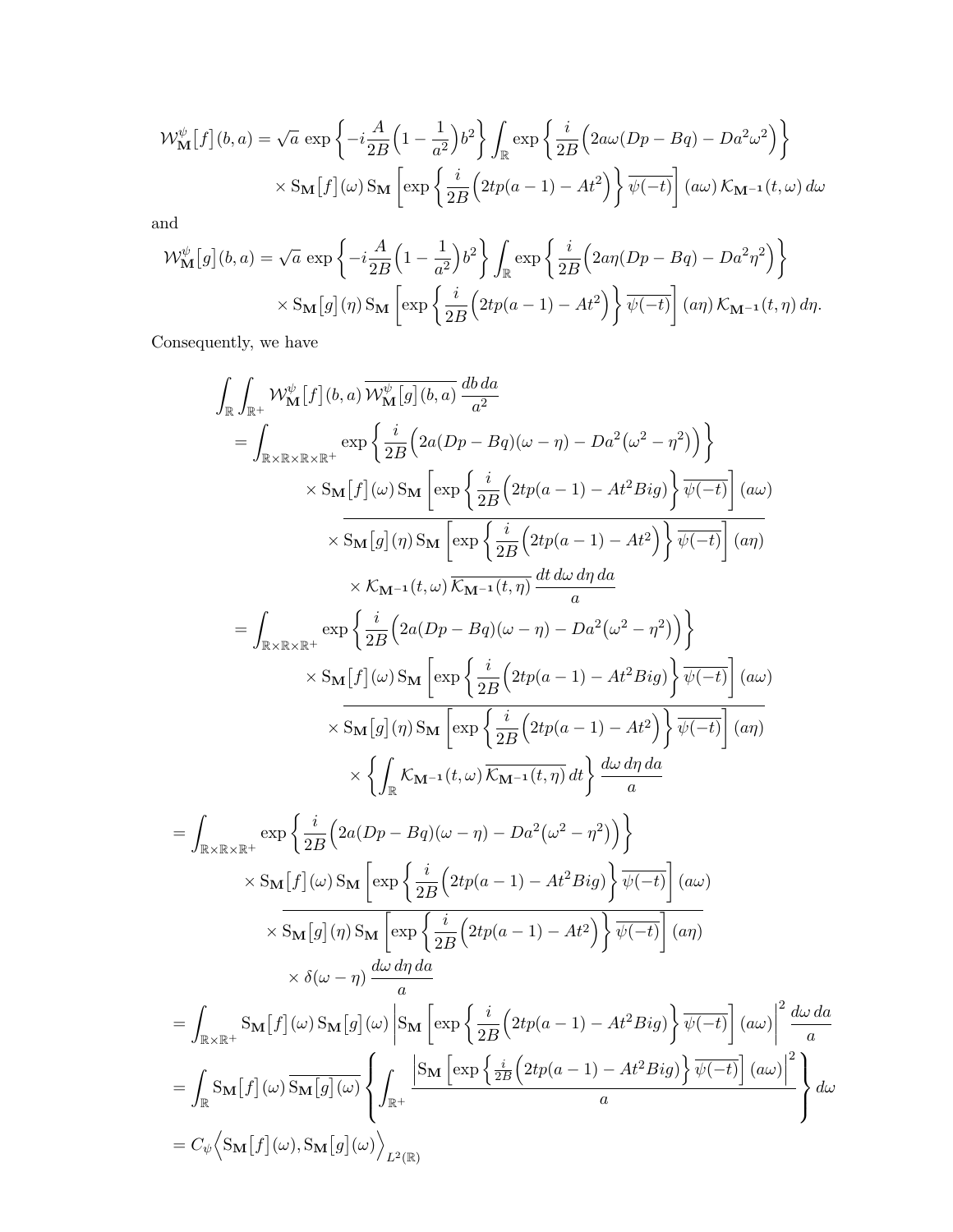$$
\mathcal{W}_{\mathbf{M}}^{\psi}[f](b,a) = \sqrt{a} \exp \left\{-i\frac{A}{2B}\left(1 - \frac{1}{a^2}\right)b^2\right\} \int_{\mathbb{R}} \exp \left\{\frac{i}{2B}\left(2a\omega(Dp - Bq) - Da^2\omega^2\right)\right\}
$$

$$
\times S_{\mathbf{M}}[f](\omega) S_{\mathbf{M}}\left[\exp\left\{\frac{i}{2B}\left(2tp(a-1) - At^2\right)\right\}\overline{\psi(-t)}\right](a\omega) \mathcal{K}_{\mathbf{M}^{-1}}(t,\omega) d\omega
$$

and

$$
\mathcal{W}_{\mathbf{M}}^{\psi}[g](b,a) = \sqrt{a} \exp\left\{-i\frac{A}{2B}\left(1 - \frac{1}{a^2}\right)b^2\right\} \int_{\mathbb{R}} \exp\left\{\frac{i}{2B}\left(2a\eta(Dp - Bq) - Da^2\eta^2\right)\right\}
$$

$$
\times S_{\mathbf{M}}[g](\eta) S_{\mathbf{M}}\left[\exp\left\{\frac{i}{2B}\left(2tp(a-1) - At^2\right)\right\}\overline{\psi(-t)}\right](a\eta) \mathcal{K}_{\mathbf{M}^{-1}}(t,\eta) d\eta.
$$

Consequently, we have

$$
\int_{\mathbb{R}} \int_{\mathbb{R}^{+}} W_{\mathbf{M}}^{\psi} [f](b, a) \overline{W_{\mathbf{M}}^{\psi} [g](b, a)} \frac{db da}{a^{2}}
$$
\n
$$
= \int_{\mathbb{R} \times \mathbb{R} \times \mathbb{R}^{+}} \exp \left\{ \frac{i}{2B} \left( 2a(Dp - Bq)(\omega - \eta) - Da^{2}(\omega^{2} - \eta^{2}) \right) \right\}
$$
\n
$$
\times S_{\mathbf{M}} [f](\omega) S_{\mathbf{M}} \left[ \exp \left\{ \frac{i}{2B} \left( 2tp(a - 1) - At^{2} Big \right) \right\} \overline{\psi(-t)} \right] (a\omega)
$$
\n
$$
\times K_{\mathbf{M}^{-1}}(t, \omega) \overline{K_{\mathbf{M}^{-1}}(t, \eta)} \frac{dt \, d\omega \, d\eta \, da}{a}
$$
\n
$$
= \int_{\mathbb{R} \times \mathbb{R} \times \mathbb{R}^{+}} \exp \left\{ \frac{i}{2B} \left( 2a(Dp - Bq)(\omega - \eta) - Da^{2}(\omega^{2} - \eta^{2}) \right) \right\}
$$
\n
$$
\times S_{\mathbf{M}} [f](\omega) S_{\mathbf{M}} \left[ \exp \left\{ \frac{i}{2B} \left( 2tp(a - 1) - At^{2} Big \right) \right\} \overline{\psi(-t)} \right] (a\omega)
$$
\n
$$
\times S_{\mathbf{M}} [g](\eta) S_{\mathbf{M}} \left[ \exp \left\{ \frac{i}{2B} \left( 2tp(a - 1) - At^{2} Big \right) \right\} \overline{\psi(-t)} \right] (a\omega)
$$
\n
$$
\times \left\{ \int_{\mathbb{R}} \mathcal{K}_{\mathbf{M}^{-1}}(t, \omega) \overline{\mathcal{K}_{\mathbf{M}^{-1}}(t, \eta)} dt \right\} \frac{d\omega \, d\eta \, da}{a}
$$
\n
$$
= \int_{\mathbb{R} \times \mathbb{R} \times \mathbb{R}^{+}} \exp \left\{ \frac{i}{2B} \left( 2a(Dp - Bq)(\omega - \eta) - Da^{2}(\omega^{2
$$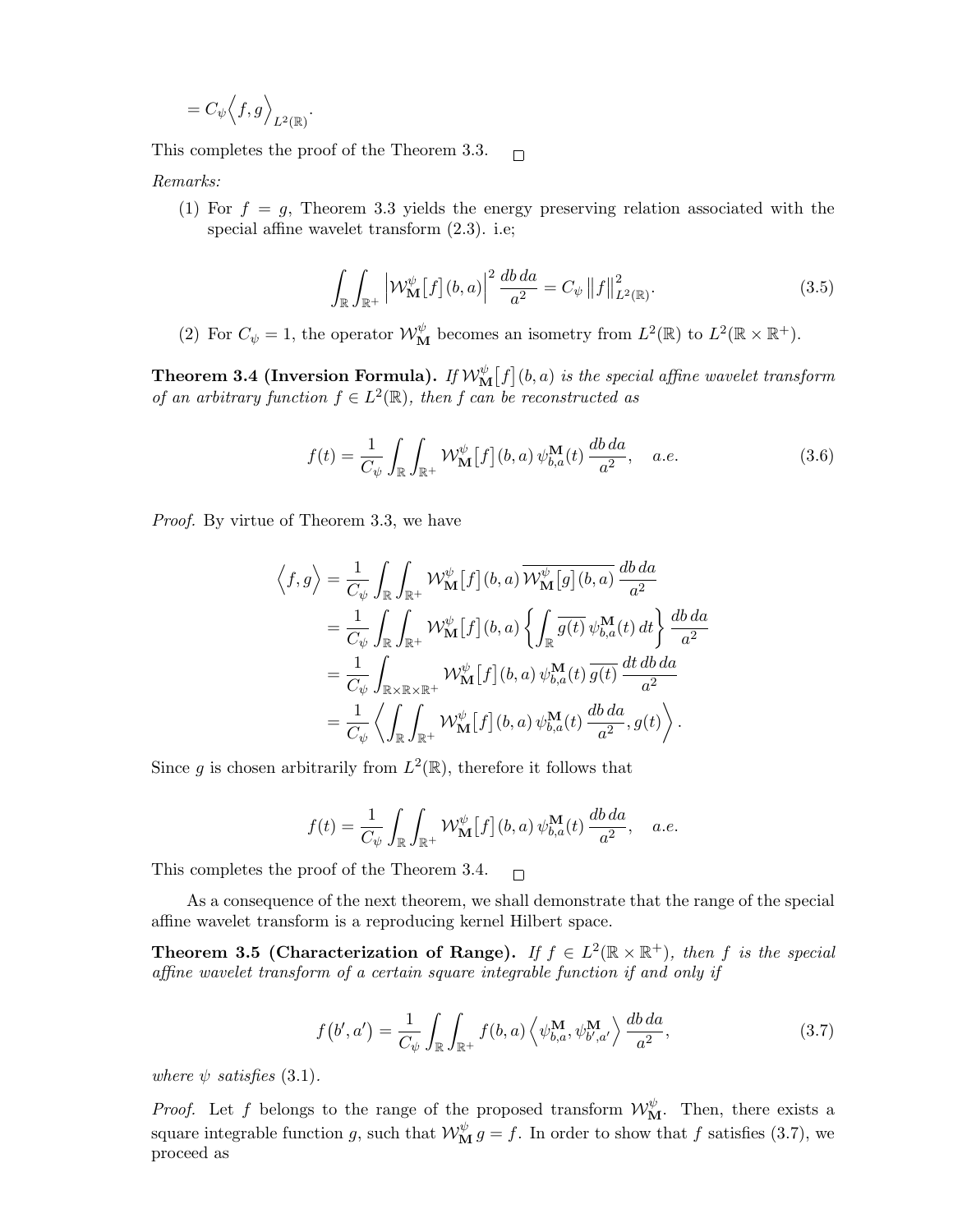$$
=C_{\psi}\Big_{L^2(\mathbb{R})}
$$

This completes the proof of the Theorem 3.3.  $\Box$ 

.

Remarks:

(1) For  $f = g$ , Theorem 3.3 yields the energy preserving relation associated with the special affine wavelet transform (2.3). i.e;

$$
\int_{\mathbb{R}} \int_{\mathbb{R}^+} \left| \mathcal{W}_{\mathbf{M}}^{\psi}[f](b, a) \right|^2 \frac{db \, da}{a^2} = C_{\psi} \left\| f \right\|_{L^2(\mathbb{R})}^2. \tag{3.5}
$$

(2) For  $C_{\psi} = 1$ , the operator  $\mathcal{W}_{\mathbf{M}}^{\psi}$  becomes an isometry from  $L^2(\mathbb{R})$  to  $L^2(\mathbb{R} \times \mathbb{R}^+)$ .

**Theorem 3.4 (Inversion Formula).** If  $\mathcal{W}_{\mathbf{M}}^{\psi}[f](b, a)$  is the special affine wavelet transform of an arbitrary function  $f \in L^2(\mathbb{R})$ , then f can be reconstructed as

$$
f(t) = \frac{1}{C_{\psi}} \int_{\mathbb{R}} \int_{\mathbb{R}^{+}} \mathcal{W}_{\mathbf{M}}^{\psi}[f](b, a) \, \psi_{b, a}^{\mathbf{M}}(t) \, \frac{db \, da}{a^{2}}, \quad a.e. \tag{3.6}
$$

Proof. By virtue of Theorem 3.3, we have

$$
\left\langle f,g \right\rangle = \frac{1}{C_{\psi}} \int_{\mathbb{R}} \int_{\mathbb{R}^{+}} \mathcal{W}_{\mathbf{M}}^{\psi}[f](b, a) \overline{\mathcal{W}_{\mathbf{M}}^{\psi}[g](b, a)} \frac{db \, da}{a^{2}}
$$
  
\n
$$
= \frac{1}{C_{\psi}} \int_{\mathbb{R}} \int_{\mathbb{R}^{+}} \mathcal{W}_{\mathbf{M}}^{\psi}[f](b, a) \left\{ \int_{\mathbb{R}} \overline{g(t)} \, \psi_{b,a}^{\mathbf{M}}(t) \, dt \right\} \frac{db \, da}{a^{2}}
$$
  
\n
$$
= \frac{1}{C_{\psi}} \int_{\mathbb{R} \times \mathbb{R} \times \mathbb{R}^{+}} \mathcal{W}_{\mathbf{M}}^{\psi}[f](b, a) \, \psi_{b,a}^{\mathbf{M}}(t) \overline{g(t)} \frac{dt \, db \, da}{a^{2}}
$$
  
\n
$$
= \frac{1}{C_{\psi}} \left\langle \int_{\mathbb{R}} \int_{\mathbb{R}^{+}} \mathcal{W}_{\mathbf{M}}^{\psi}[f](b, a) \, \psi_{b,a}^{\mathbf{M}}(t) \frac{db \, da}{a^{2}}, g(t) \right\rangle.
$$

Since g is chosen arbitrarily from  $L^2(\mathbb{R})$ , therefore it follows that

$$
f(t) = \frac{1}{C_{\psi}} \int_{\mathbb{R}} \int_{\mathbb{R}^{+}} \mathcal{W}_{\mathbf{M}}^{\psi}[f](b, a) \, \psi_{b, a}^{\mathbf{M}}(t) \, \frac{db \, da}{a^{2}}, \quad a.e.
$$

This completes the proof of the Theorem 3.4.  $\Box$ 

As a consequence of the next theorem, we shall demonstrate that the range of the special affine wavelet transform is a reproducing kernel Hilbert space.

**Theorem 3.5 (Characterization of Range).** If  $f \in L^2(\mathbb{R} \times \mathbb{R}^+)$ , then f is the special affine wavelet transform of a certain square integrable function if and only if

$$
f(b',a') = \frac{1}{C_{\psi}} \int_{\mathbb{R}} \int_{\mathbb{R}^+} f(b,a) \left\langle \psi_{b,a}^{\mathbf{M}}, \psi_{b',a'}^{\mathbf{M}} \right\rangle \frac{db \, da}{a^2},\tag{3.7}
$$

where  $\psi$  satisfies (3.1).

*Proof.* Let f belongs to the range of the proposed transform  $\mathcal{W}_{\mathbf{M}}^{\psi}$ . Then, there exists a square integrable function g, such that  $\mathcal{W}_{\mathbf{M}}^{\psi} g = f$ . In order to show that f satisfies (3.7), we proceed as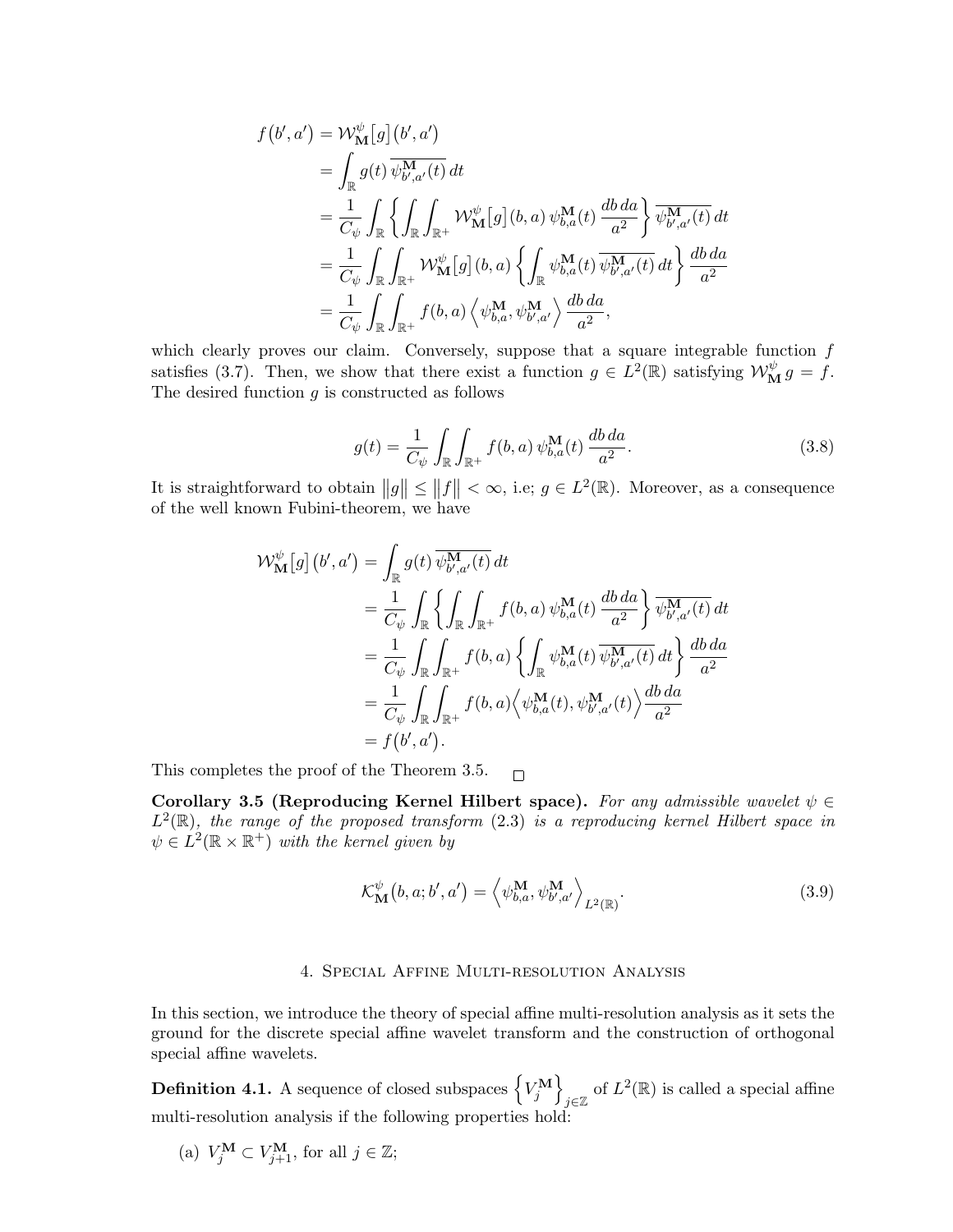$$
f(b', a') = \mathcal{W}_{\mathbf{M}}^{\psi}[g](b', a')
$$
  
\n
$$
= \int_{\mathbb{R}} g(t) \overline{\psi_{b',a'}^{\mathbf{M}}(t)} dt
$$
  
\n
$$
= \frac{1}{C_{\psi}} \int_{\mathbb{R}} \left\{ \int_{\mathbb{R}} \int_{\mathbb{R}^{+}} \mathcal{W}_{\mathbf{M}}^{\psi}[g](b, a) \psi_{b, a}^{\mathbf{M}}(t) \frac{db da}{a^{2}} \right\} \overline{\psi_{b',a'}^{\mathbf{M}}(t)} dt
$$
  
\n
$$
= \frac{1}{C_{\psi}} \int_{\mathbb{R}} \int_{\mathbb{R}^{+}} \mathcal{W}_{\mathbf{M}}^{\psi}[g](b, a) \left\{ \int_{\mathbb{R}} \psi_{b, a}^{\mathbf{M}}(t) \overline{\psi_{b', a'}^{\mathbf{M}}(t)} dt \right\} \frac{db da}{a^{2}}
$$
  
\n
$$
= \frac{1}{C_{\psi}} \int_{\mathbb{R}} \int_{\mathbb{R}^{+}} f(b, a) \left\langle \psi_{b, a}^{\mathbf{M}}, \psi_{b', a'}^{\mathbf{M}} \right\rangle \frac{db da}{a^{2}},
$$

which clearly proves our claim. Conversely, suppose that a square integrable function  $f$ satisfies (3.7). Then, we show that there exist a function  $g \in L^2(\mathbb{R})$  satisfying  $\mathcal{W}_{\mathbf{M}}^{\psi} g = f$ . The desired function  $g$  is constructed as follows

$$
g(t) = \frac{1}{C_{\psi}} \int_{\mathbb{R}} \int_{\mathbb{R}^{+}} f(b, a) \, \psi_{b, a}^{\mathbf{M}}(t) \, \frac{db \, da}{a^{2}}.
$$
 (3.8)

It is straightforward to obtain  $||g|| \le ||f|| < \infty$ , i.e;  $g \in L^2(\mathbb{R})$ . Moreover, as a consequence of the well known Fubini-theorem, we have

$$
\mathcal{W}_{\mathbf{M}}^{\psi}[g](b',a') = \int_{\mathbb{R}} g(t) \overline{\psi_{b',a'}^{M}(t)} dt
$$
  
\n
$$
= \frac{1}{C_{\psi}} \int_{\mathbb{R}} \left\{ \int_{\mathbb{R}} \int_{\mathbb{R}^{+}} f(b,a) \psi_{b,a}^{M}(t) \frac{db \, da}{a^{2}} \right\} \overline{\psi_{b',a'}^{M}(t)} dt
$$
  
\n
$$
= \frac{1}{C_{\psi}} \int_{\mathbb{R}} \int_{\mathbb{R}^{+}} f(b,a) \left\{ \int_{\mathbb{R}} \psi_{b,a}^{M}(t) \overline{\psi_{b',a'}^{M}(t)} dt \right\} \frac{db \, da}{a^{2}}
$$
  
\n
$$
= \frac{1}{C_{\psi}} \int_{\mathbb{R}} \int_{\mathbb{R}^{+}} f(b,a) \left\langle \psi_{b,a}^{M}(t), \psi_{b',a'}^{M}(t) \right\rangle \frac{db \, da}{a^{2}}
$$
  
\n
$$
= f(b',a').
$$

This completes the proof of the Theorem 3.5.  $\Box$ 

Corollary 3.5 (Reproducing Kernel Hilbert space). For any admissible wavelet  $\psi \in$  $L^2(\mathbb{R})$ , the range of the proposed transform (2.3) is a reproducing kernel Hilbert space in  $\psi \in L^2(\mathbb{R} \times \mathbb{R}^+)$  with the kernel given by

$$
\mathcal{K}_{\mathbf{M}}^{\psi}(b, a; b', a') = \left\langle \psi_{b,a}^{\mathbf{M}}, \psi_{b',a'}^{\mathbf{M}} \right\rangle_{L^{2}(\mathbb{R})}.
$$
\n(3.9)

#### 4. Special Affine Multi-resolution Analysis

In this section, we introduce the theory of special affine multi-resolution analysis as it sets the ground for the discrete special affine wavelet transform and the construction of orthogonal special affine wavelets.

**Definition 4.1.** A sequence of closed subspaces  $\left\{V_j^{\mathbf{M}}\right\}$ of  $L^2(\mathbb{R})$  is called a special affine multi-resolution analysis if the following properties hold:

(a)  $V_j^{\mathbf{M}} \subset V_{j+1}^{\mathbf{M}},$  for all  $j \in \mathbb{Z}$ ;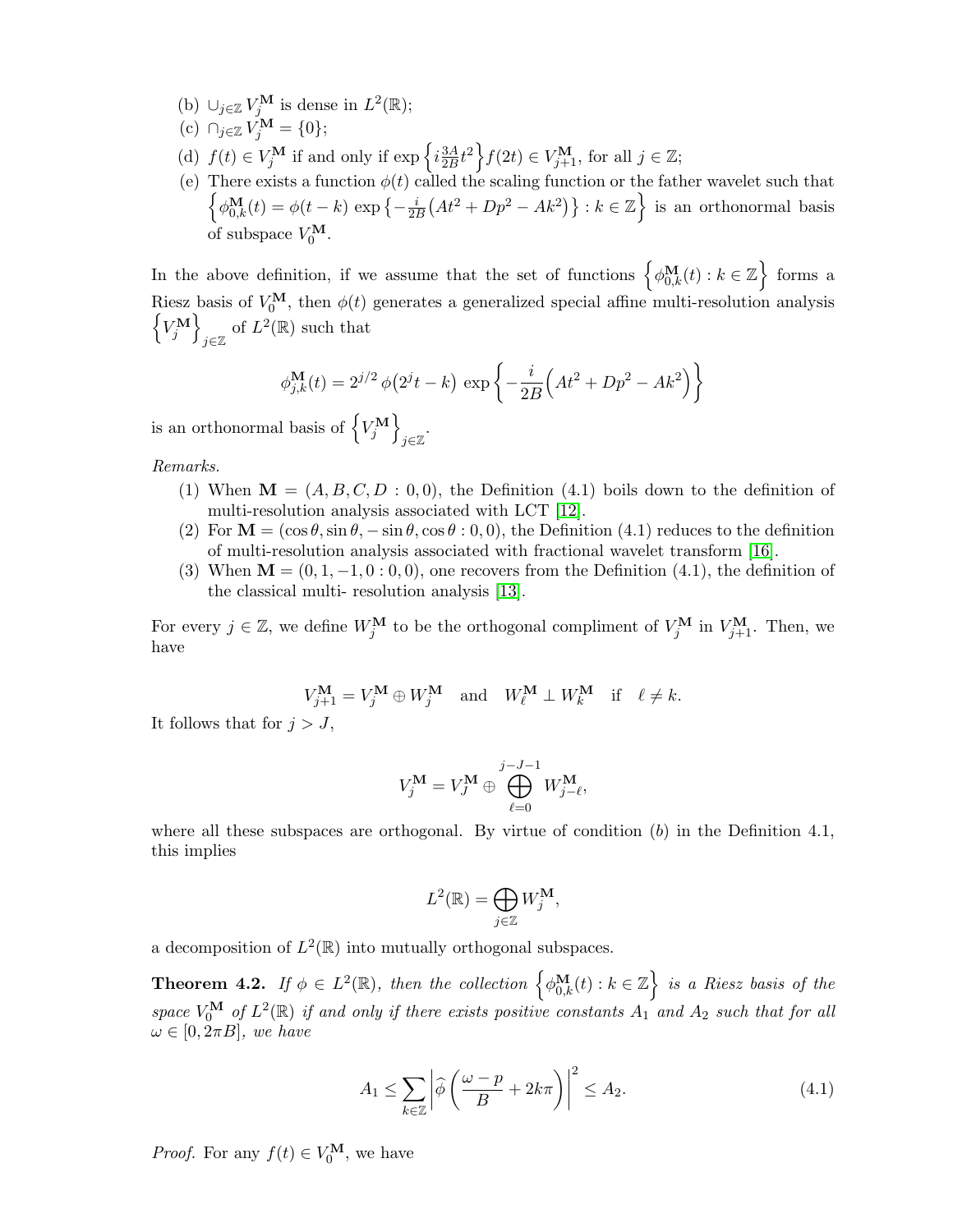- (b)  $\cup_{j\in\mathbb{Z}}V_j^{\mathbf{M}}$  is dense in  $L^2(\mathbb{R})$ ;
- (c)  $\bigcap_{j\in\mathbb{Z}}V_j^{\mathbf{M}}=\{0\};$
- (d)  $f(t) \in V_j^{\mathbf{M}}$  if and only if  $\exp\left\{i\frac{3A}{2B}\right\}$  $\left\{\frac{3A}{2B}t^2\right\}$   $f(2t) \in V_{j+1}^{\mathbf{M}},$  for all  $j \in \mathbb{Z}$ ;
- (e) There exists a function  $\phi(t)$  called the scaling function or the father wavelet such that  $\begin{cases} \phi_{0,k}^{\mathbf{M}}(t) = \phi(t-k) \, \exp \left\{-\frac{i}{2l}\right. \end{cases}$  $\frac{i}{2B}(At^2 + Dp^2 - Ak^2)$  :  $k \in \mathbb{Z}$  is an orthonormal basis of subspace  $V_0^{\mathbf{M}}$ .

In the above definition, if we assume that the set of functions  $\left\{\phi_{0,k}^{\mathbf{M}}(t):k\in\mathbb{Z}\right\}$  forms a Riesz basis of  $V_0^{\mathbf{M}}$ , then  $\phi(t)$  generates a generalized special affine multi-resolution analysis  $\left\{V_j^{\mathbf{M}}\right\}$  $\int_{\mathcal{I}} \in \mathbb{Z}$  of  $L^2(\mathbb{R})$  such that

$$
\phi_{j,k}^{\mathbf{M}}(t) = 2^{j/2} \phi(2^{j}t - k) \exp\left\{-\frac{i}{2B} \left(At^{2} + Dp^{2} - Ak^{2}\right)\right\}
$$

is an orthonormal basis of  $\left\{V_j^{\mathbf{M}}\right\}$ .<br>j∈Z

Remarks.

- (1) When  $\mathbf{M} = (A, B, C, D: 0, 0)$ , the Definition (4.1) boils down to the definition of multi-resolution analysis associated with LCT [\[12\]](#page-23-12).
- (2) For  $\mathbf{M} = (\cos \theta, \sin \theta, -\sin \theta, \cos \theta : 0, 0)$ , the Definition (4.1) reduces to the definition of multi-resolution analysis associated with fractional wavelet transform [\[16\]](#page-24-7).
- (3) When  $\mathbf{M} = (0, 1, -1, 0, 0, 0)$ , one recovers from the Definition (4.1), the definition of the classical multi- resolution analysis [\[13\]](#page-23-10).

For every  $j \in \mathbb{Z}$ , we define  $W_j^{\mathbf{M}}$  to be the orthogonal compliment of  $V_j^{\mathbf{M}}$  in  $V_{j+1}^{\mathbf{M}}$ . Then, we have

$$
V_{j+1}^{\mathbf{M}} = V_j^{\mathbf{M}} \oplus W_j^{\mathbf{M}} \quad \text{and} \quad W_{\ell}^{\mathbf{M}} \perp W_k^{\mathbf{M}} \quad \text{if} \quad \ell \neq k.
$$

It follows that for  $j > J$ ,

$$
V_j^{\mathbf{M}} = V_J^{\mathbf{M}} \oplus \bigoplus_{\ell=0}^{j-J-1} W_{j-\ell}^{\mathbf{M}},
$$

where all these subspaces are orthogonal. By virtue of condition  $(b)$  in the Definition 4.1, this implies

$$
L^2(\mathbb{R}) = \bigoplus_{j \in \mathbb{Z}} W_j^{\mathbf{M}},
$$

a decomposition of  $L^2(\mathbb{R})$  into mutually orthogonal subspaces.

**Theorem 4.2.** If  $\phi \in L^2(\mathbb{R})$ , then the collection  $\left\{\phi_{0,k}^{\mathbf{M}}(t): k \in \mathbb{Z}\right\}$  is a Riesz basis of the space  $V_0^{\mathbf{M}}$  of  $L^2(\mathbb{R})$  if and only if there exists positive constants  $A_1$  and  $A_2$  such that for all  $\omega \in [0, 2\pi B]$ , we have

$$
A_1 \le \sum_{k \in \mathbb{Z}} \left| \widehat{\phi} \left( \frac{\omega - p}{B} + 2k\pi \right) \right|^2 \le A_2. \tag{4.1}
$$

*Proof.* For any  $f(t) \in V_0^{\mathbf{M}}$ , we have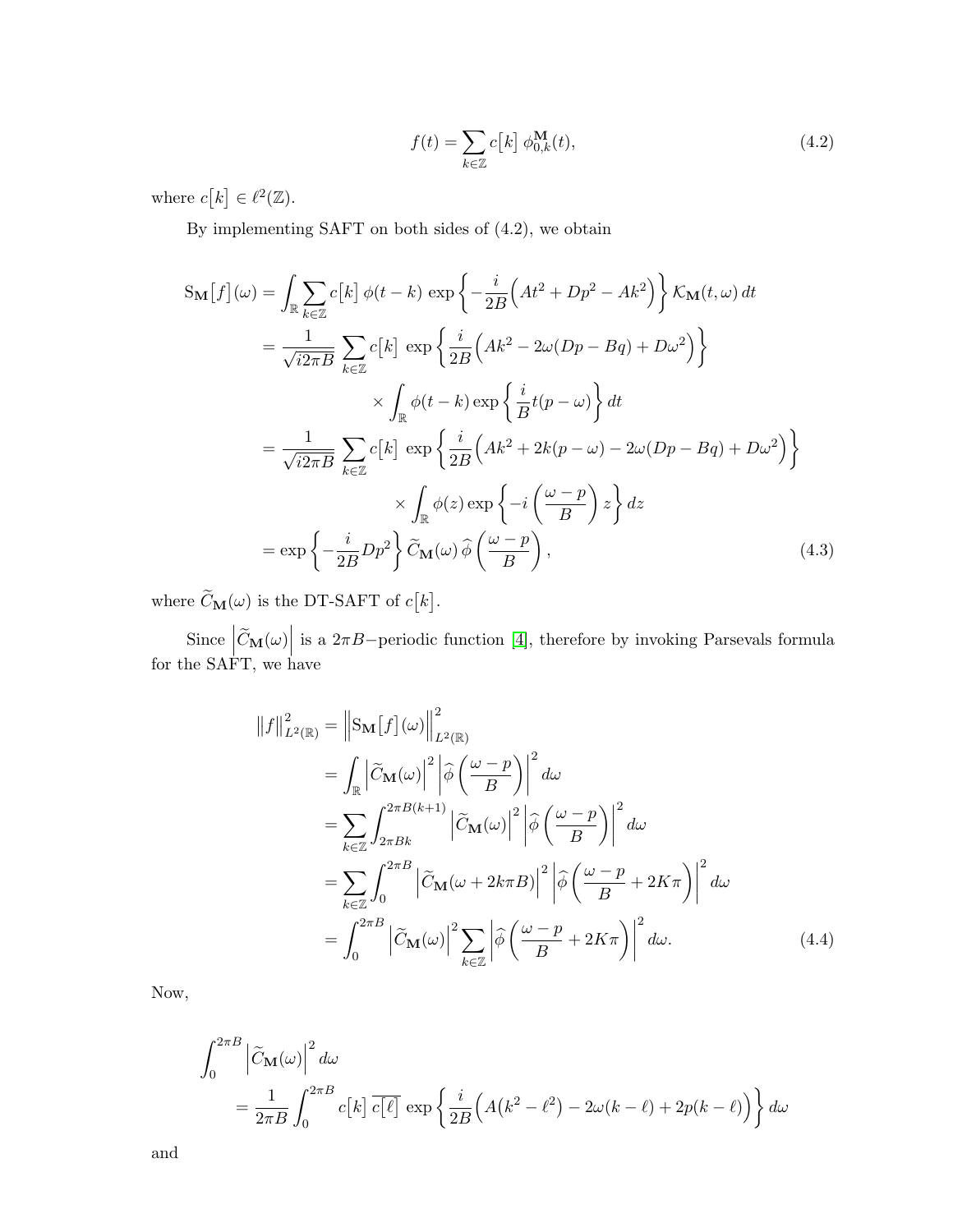$$
f(t) = \sum_{k \in \mathbb{Z}} c[k] \phi_{0,k}^{\mathbf{M}}(t),
$$
\n(4.2)

where  $c[k] \in \ell^2(\mathbb{Z})$ .

By implementing SAFT on both sides of (4.2), we obtain

$$
S_{\mathbf{M}}[f](\omega) = \int_{\mathbb{R}} \sum_{k \in \mathbb{Z}} c[k] \phi(t-k) \exp\left\{-\frac{i}{2B} \left(At^2 + Dp^2 - Ak^2\right) \right\} \mathcal{K}_{\mathbf{M}}(t, \omega) dt
$$
  
\n
$$
= \frac{1}{\sqrt{i2\pi B}} \sum_{k \in \mathbb{Z}} c[k] \exp\left\{\frac{i}{2B} \left( Ak^2 - 2\omega(Dp - Bq) + D\omega^2 \right) \right\}
$$
  
\n
$$
\times \int_{\mathbb{R}} \phi(t-k) \exp\left\{\frac{i}{B}t(p-\omega) \right\} dt
$$
  
\n
$$
= \frac{1}{\sqrt{i2\pi B}} \sum_{k \in \mathbb{Z}} c[k] \exp\left\{\frac{i}{2B} \left( Ak^2 + 2k(p-\omega) - 2\omega(Dp - Bq) + D\omega^2 \right) \right\}
$$
  
\n
$$
\times \int_{\mathbb{R}} \phi(z) \exp\left\{-i\left(\frac{\omega - p}{B}\right)z\right\} dz
$$
  
\n
$$
= \exp\left\{-\frac{i}{2B}Dp^2\right\} \widetilde{C}_{\mathbf{M}}(\omega) \widehat{\phi}\left(\frac{\omega - p}{B}\right), \tag{4.3}
$$

where  $C_{\mathbf{M}}(\omega)$  is the DT-SAFT of  $c[k]$ .

Since  $\left|\widetilde{C}_{\mathbf{M}}(\omega)\right|$ is a  $2\pi B$ -periodic function [\[4\]](#page-23-8), therefore by invoking Parsevals formula for the SAFT, we have

$$
||f||_{L^{2}(\mathbb{R})}^{2} = ||\mathbf{S}_{\mathbf{M}}[f](\omega)||_{L^{2}(\mathbb{R})}^{2}
$$
  
\n
$$
= \int_{\mathbb{R}} |\tilde{C}_{\mathbf{M}}(\omega)|^{2} |\tilde{\phi} \left(\frac{\omega - p}{B}\right)|^{2} d\omega
$$
  
\n
$$
= \sum_{k \in \mathbb{Z}} \int_{2\pi B k}^{2\pi B(k+1)} |\tilde{C}_{\mathbf{M}}(\omega)|^{2} |\tilde{\phi} \left(\frac{\omega - p}{B}\right)|^{2} d\omega
$$
  
\n
$$
= \sum_{k \in \mathbb{Z}} \int_{0}^{2\pi B} |\tilde{C}_{\mathbf{M}}(\omega + 2k\pi B)|^{2} |\tilde{\phi} \left(\frac{\omega - p}{B} + 2K\pi\right)|^{2} d\omega
$$
  
\n
$$
= \int_{0}^{2\pi B} |\tilde{C}_{\mathbf{M}}(\omega)|^{2} \sum_{k \in \mathbb{Z}} |\tilde{\phi} \left(\frac{\omega - p}{B} + 2K\pi\right)|^{2} d\omega.
$$
 (4.4)

Now,

$$
\int_0^{2\pi B} \left| \tilde{C}_{\mathbf{M}}(\omega) \right|^2 d\omega
$$
  
=  $\frac{1}{2\pi B} \int_0^{2\pi B} c[k] \overline{c[\ell]} \exp \left\{ \frac{i}{2B} \Big( A(k^2 - \ell^2) - 2\omega(k - \ell) + 2p(k - \ell) \Big) \right\} d\omega$ 

and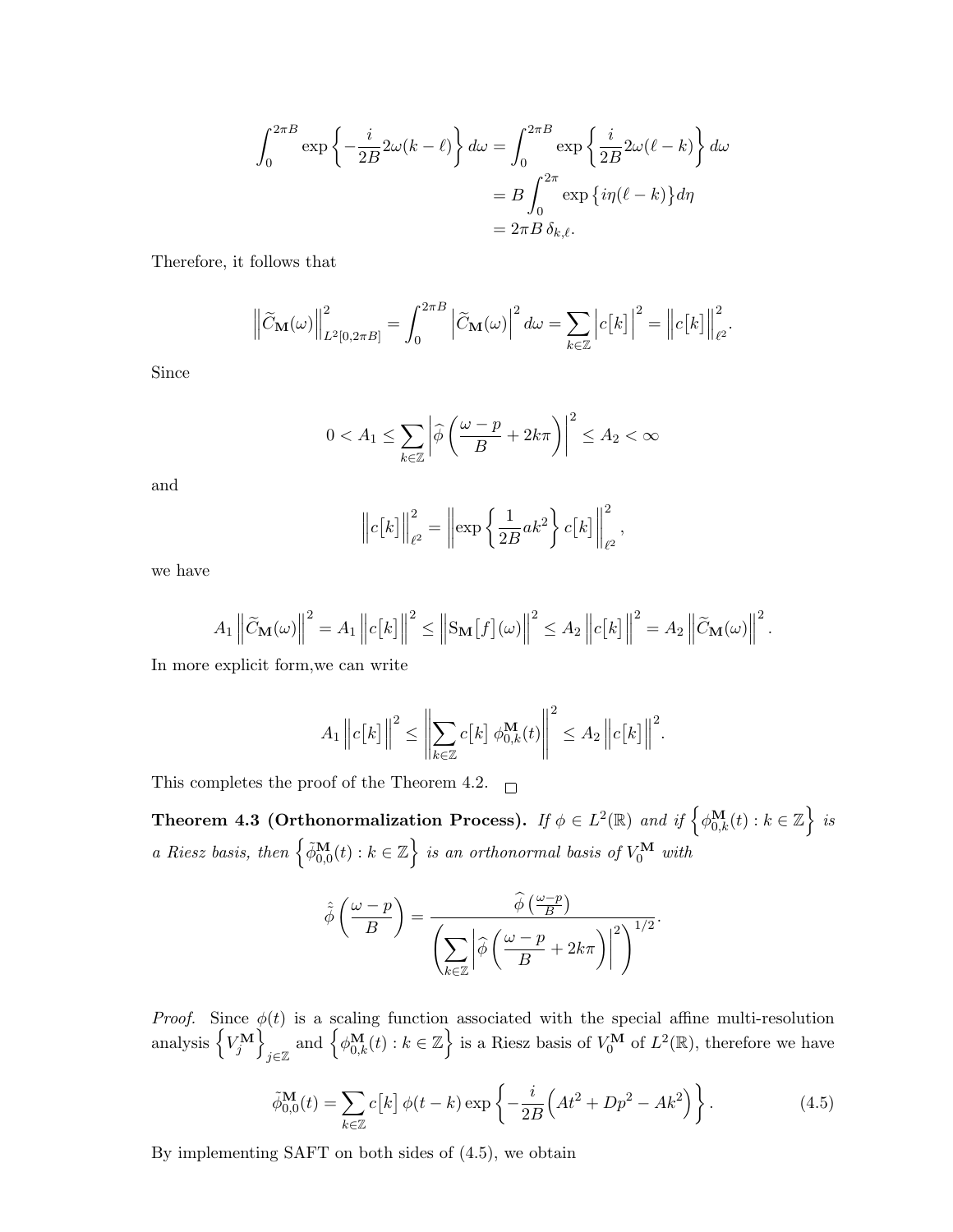$$
\int_0^{2\pi B} \exp\left\{-\frac{i}{2B}2\omega(k-\ell)\right\} d\omega = \int_0^{2\pi B} \exp\left\{\frac{i}{2B}2\omega(\ell-k)\right\} d\omega
$$

$$
= B \int_0^{2\pi} \exp\left\{i\eta(\ell-k)\right\} d\eta
$$

$$
= 2\pi B \,\delta_{k,\ell}.
$$

Therefore, it follows that

$$
\left\|\widetilde{C}_{\mathbf{M}}(\omega)\right\|_{L^2[0,2\pi B]}^2 = \int_0^{2\pi B} \left|\widetilde{C}_{\mathbf{M}}(\omega)\right|^2 d\omega = \sum_{k \in \mathbb{Z}} \left|c[k]\right|^2 = \left\|c[k]\right\|_{\ell^2}^2.
$$

Since

$$
0 < A_1 \le \sum_{k \in \mathbb{Z}} \left| \widehat{\phi} \left( \frac{\omega - p}{B} + 2k\pi \right) \right|^2 \le A_2 < \infty
$$

and

$$
\left\|c[k]\right\|_{\ell^2}^2 = \left\|\exp\left\{\frac{1}{2B}ak^2\right\}c[k]\right\|_{\ell^2}^2,
$$

we have

$$
A_1 \left\| \widetilde{C}_{\mathbf{M}}(\omega) \right\|^2 = A_1 \left\| c[k] \right\|^2 \le \left\| S_{\mathbf{M}}[f](\omega) \right\|^2 \le A_2 \left\| c[k] \right\|^2 = A_2 \left\| \widetilde{C}_{\mathbf{M}}(\omega) \right\|^2.
$$

In more explicit form,we can write

$$
A_1 \|c[k]\|^2 \le \left\|\sum_{k\in\mathbb{Z}} c[k] \phi_{0,k}^{\mathbf{M}}(t)\right\|^2 \le A_2 \|c[k]\|^2.
$$

This completes the proof of the Theorem 4.2.  $\Box$ 

Theorem 4.3 (Orthonormalization Process). If  $\phi\in L^2(\mathbb{R})$  and if  $\left\{\phi_{0,k}^{\mathbf{M}}(t):k\in\mathbb{Z}\right\}$  is a Riesz basis, then  $\left\{\begin{matrix} \tilde{\phi}_{0,0}^{\mathbf{M}}(t) : k \in \mathbb{Z} \end{matrix}\right\}$  is an orthonormal basis of  $V_0^{\mathbf{M}}$  with

$$
\hat{\phi}\left(\frac{\omega-p}{B}\right) = \frac{\widehat{\phi}\left(\frac{\omega-p}{B}\right)}{\left(\sum_{k\in\mathbb{Z}}\left|\widehat{\phi}\left(\frac{\omega-p}{B} + 2k\pi\right)\right|^2\right)^{1/2}}
$$

*Proof.* Since  $\phi(t)$  is a scaling function associated with the special affine multi-resolution analysis  $\left\{V_j^{\mathbf{M}}\right\}$ and  $\left\{\phi_{0,k}^{\mathbf{M}}(t) : k \in \mathbb{Z}\right\}$  is a Riesz basis of  $V_0^{\mathbf{M}}$  of  $L^2(\mathbb{R})$ , therefore we have

$$
\tilde{\phi}_{0,0}^{\mathbf{M}}(t) = \sum_{k \in \mathbb{Z}} c[k] \phi(t-k) \exp\left\{-\frac{i}{2B} \Big(At^2 + Dp^2 - Ak^2\Big)\right\}.
$$
\n(4.5)

.

By implementing SAFT on both sides of (4.5), we obtain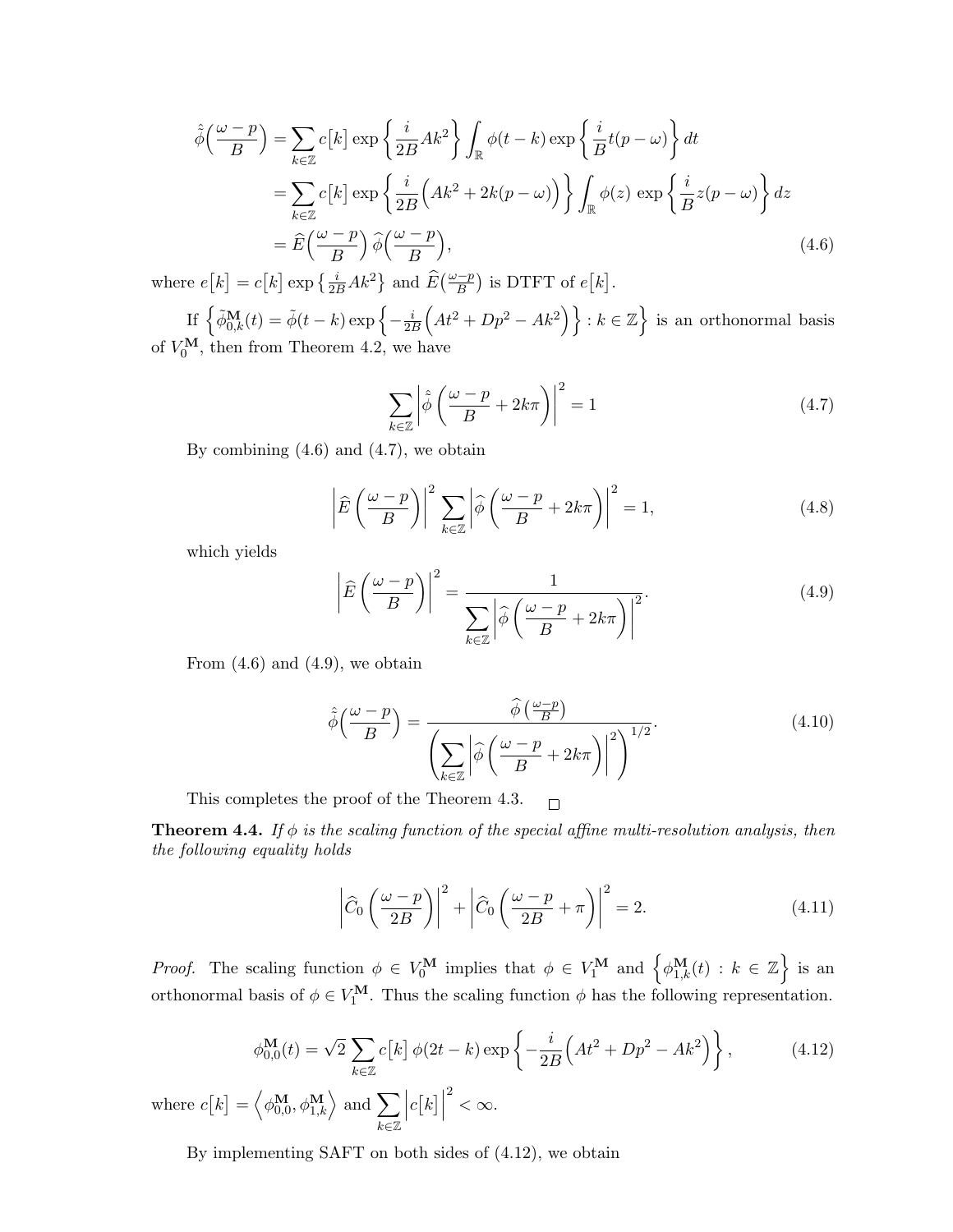$$
\hat{\phi}\left(\frac{\omega-p}{B}\right) = \sum_{k \in \mathbb{Z}} c[k] \exp\left\{\frac{i}{2B}Ak^2\right\} \int_{\mathbb{R}} \phi(t-k) \exp\left\{\frac{i}{B}t(p-\omega)\right\} dt
$$
  
\n
$$
= \sum_{k \in \mathbb{Z}} c[k] \exp\left\{\frac{i}{2B}\left(Ak^2 + 2k(p-\omega)\right)\right\} \int_{\mathbb{R}} \phi(z) \exp\left\{\frac{i}{B}z(p-\omega)\right\} dz
$$
  
\n
$$
= \widehat{E}\left(\frac{\omega-p}{B}\right) \widehat{\phi}\left(\frac{\omega-p}{B}\right),
$$
\n(4.6)

where  $e[k] = c[k] \exp\left\{\frac{i}{2B}Ak^2\right\}$  and  $\widehat{E}\left(\frac{\omega - p}{B}\right)$  is DTFT of  $e[k]$ . If  $\left\{ \tilde{\phi}_{0,k}^{\mathbf{M}}(t) = \tilde{\phi}(t-k) \exp \left\{-\frac{i}{2l}\right. \right.$  $\left\{ \frac{i}{2B} \left( At^2 + Dp^2 - Ak^2 \right) \right\} : k \in \mathbb{Z} \right\}$  is an orthonormal basis of  $V_0^{\mathbf{M}}$ , then from Theorem 4.2, we have

$$
\sum_{k \in \mathbb{Z}} \left| \hat{\phi} \left( \frac{\omega - p}{B} + 2k\pi \right) \right|^2 = 1 \tag{4.7}
$$

By combining  $(4.6)$  and  $(4.7)$ , we obtain

$$
\left| \widehat{E}\left(\frac{\omega-p}{B}\right) \right|^2 \sum_{k \in \mathbb{Z}} \left| \widehat{\phi}\left(\frac{\omega-p}{B} + 2k\pi\right) \right|^2 = 1, \tag{4.8}
$$

which yields

$$
\left| \widehat{E}\left(\frac{\omega - p}{B}\right) \right|^2 = \frac{1}{\sum_{k \in \mathbb{Z}} \left| \widehat{\phi}\left(\frac{\omega - p}{B} + 2k\pi\right) \right|^2}.
$$
\n(4.9)

From  $(4.6)$  and  $(4.9)$ , we obtain

$$
\hat{\phi}\left(\frac{\omega-p}{B}\right) = \frac{\hat{\phi}\left(\frac{\omega-p}{B}\right)}{\left(\sum_{k\in\mathbb{Z}}\left|\hat{\phi}\left(\frac{\omega-p}{B} + 2k\pi\right)\right|^2\right)^{1/2}}.\tag{4.10}
$$

This completes the proof of the Theorem 4.3.  $\Box$ 

**Theorem 4.4.** If  $\phi$  is the scaling function of the special affine multi-resolution analysis, then the following equality holds

$$
\left|\widehat{C}_0\left(\frac{\omega-p}{2B}\right)\right|^2 + \left|\widehat{C}_0\left(\frac{\omega-p}{2B} + \pi\right)\right|^2 = 2.
$$
\n(4.11)

*Proof.* The scaling function  $\phi \in V_0^{\mathbf{M}}$  implies that  $\phi \in V_1^{\mathbf{M}}$  and  $\left\{\phi_{1,k}^{\mathbf{M}}(t) : k \in \mathbb{Z}\right\}$  is an orthonormal basis of  $\phi \in V_1^{\mathbf{M}}$ . Thus the scaling function  $\phi$  has the following representation.

$$
\phi_{0,0}^{M}(t) = \sqrt{2} \sum_{k \in \mathbb{Z}} c[k] \phi(2t - k) \exp\left\{-\frac{i}{2B} \left(At^2 + Dp^2 - Ak^2\right)\right\},\tag{4.12}
$$

where  $c[k] = \left\langle \phi_{0,0}^{M}, \phi_{1,k}^{M} \right\rangle$  and  $\sum$ k∈Z  $c[k]$  $2 < \infty$ .

By implementing SAFT on both sides of (4.12), we obtain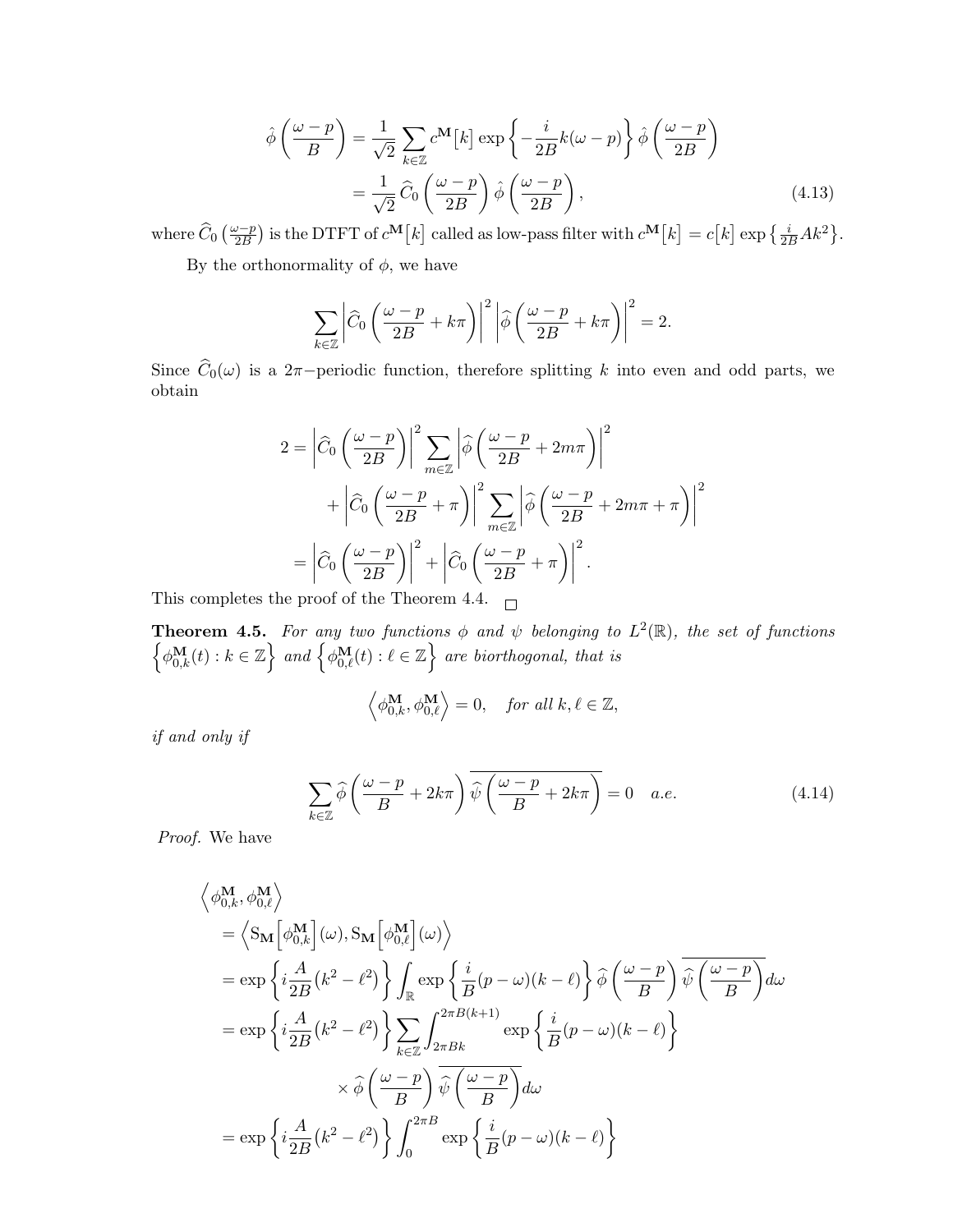$$
\hat{\phi}\left(\frac{\omega-p}{B}\right) = \frac{1}{\sqrt{2}} \sum_{k \in \mathbb{Z}} c^{\mathbf{M}}[k] \exp\left\{-\frac{i}{2B}k(\omega-p)\right\} \hat{\phi}\left(\frac{\omega-p}{2B}\right)
$$

$$
= \frac{1}{\sqrt{2}} \hat{C}_0\left(\frac{\omega-p}{2B}\right) \hat{\phi}\left(\frac{\omega-p}{2B}\right), \tag{4.13}
$$

where  $\widehat{C}_0\left(\frac{\omega-p}{2B}\right)$  is the DTFT of  $c^{\mathbf{M}}[k]$  called as low-pass filter with  $c^{\mathbf{M}}[k] = c[k] \exp\left\{\frac{i}{2B}Ak^2\right\}$ .

By the orthonormality of  $\phi$ , we have

$$
\sum_{k\in\mathbb{Z}}\left|\widehat{C}_0\left(\frac{\omega-p}{2B}+k\pi\right)\right|^2\left|\widehat{\phi}\left(\frac{\omega-p}{2B}+k\pi\right)\right|^2=2.
$$

Since  $\widehat{C}_0(\omega)$  is a 2π−periodic function, therefore splitting k into even and odd parts, we obtain

$$
2 = \left| \widehat{C}_0 \left( \frac{\omega - p}{2B} \right) \right|^2 \sum_{m \in \mathbb{Z}} \left| \widehat{\phi} \left( \frac{\omega - p}{2B} + 2m\pi \right) \right|^2
$$

$$
+ \left| \widehat{C}_0 \left( \frac{\omega - p}{2B} + \pi \right) \right|^2 \sum_{m \in \mathbb{Z}} \left| \widehat{\phi} \left( \frac{\omega - p}{2B} + 2m\pi + \pi \right) \right|^2
$$

$$
= \left| \widehat{C}_0 \left( \frac{\omega - p}{2B} \right) \right|^2 + \left| \widehat{C}_0 \left( \frac{\omega - p}{2B} + \pi \right) \right|^2.
$$

This completes the proof of the Theorem 4.4.  $\Box$ 

**Theorem 4.5.** For any two functions  $\phi$  and  $\psi$  belonging to  $L^2(\mathbb{R})$ , the set of functions  $\left\{\phi_{0,k}^{\mathbf{M}}(t):k\in\mathbb{Z}\right\}$  and  $\left\{\phi_{0,\ell}^{\mathbf{M}}(t):\ell\in\mathbb{Z}\right\}$  are biorthogonal, that is

$$
\langle \phi_{0,k}^{\mathbf{M}}, \phi_{0,\ell}^{\mathbf{M}} \rangle = 0
$$
, for all  $k, \ell \in \mathbb{Z}$ ,

if and only if

$$
\sum_{k \in \mathbb{Z}} \widehat{\phi}\left(\frac{\omega - p}{B} + 2k\pi\right) \overline{\widehat{\psi}\left(\frac{\omega - p}{B} + 2k\pi\right)} = 0 \quad a.e. \tag{4.14}
$$

Proof. We have

$$
\begin{split}\n&\left\langle \phi_{0,k}^{\mathbf{M}}, \phi_{0,\ell}^{\mathbf{M}} \right\rangle \\
&= \left\langle \mathrm{S}_{\mathbf{M}} \left[ \phi_{0,k}^{\mathbf{M}} \right] (\omega), \mathrm{S}_{\mathbf{M}} \left[ \phi_{0,\ell}^{\mathbf{M}} \right] (\omega) \right\rangle \\
&= \exp \left\{ i \frac{A}{2B} (k^2 - \ell^2) \right\} \int_{\mathbb{R}} \exp \left\{ \frac{i}{B} (p - \omega)(k - \ell) \right\} \widehat{\phi} \left( \frac{\omega - p}{B} \right) \overline{\widehat{\psi} \left( \frac{\omega - p}{B} \right)} d\omega \\
&= \exp \left\{ i \frac{A}{2B} (k^2 - \ell^2) \right\} \sum_{k \in \mathbb{Z}} \int_{2\pi B k}^{2\pi B (k+1)} \exp \left\{ \frac{i}{B} (p - \omega)(k - \ell) \right\} \\
&\times \widehat{\phi} \left( \frac{\omega - p}{B} \right) \overline{\widehat{\psi} \left( \frac{\omega - p}{B} \right)} d\omega \\
&= \exp \left\{ i \frac{A}{2B} (k^2 - \ell^2) \right\} \int_{0}^{2\pi B} \exp \left\{ \frac{i}{B} (p - \omega)(k - \ell) \right\}\n\end{split}
$$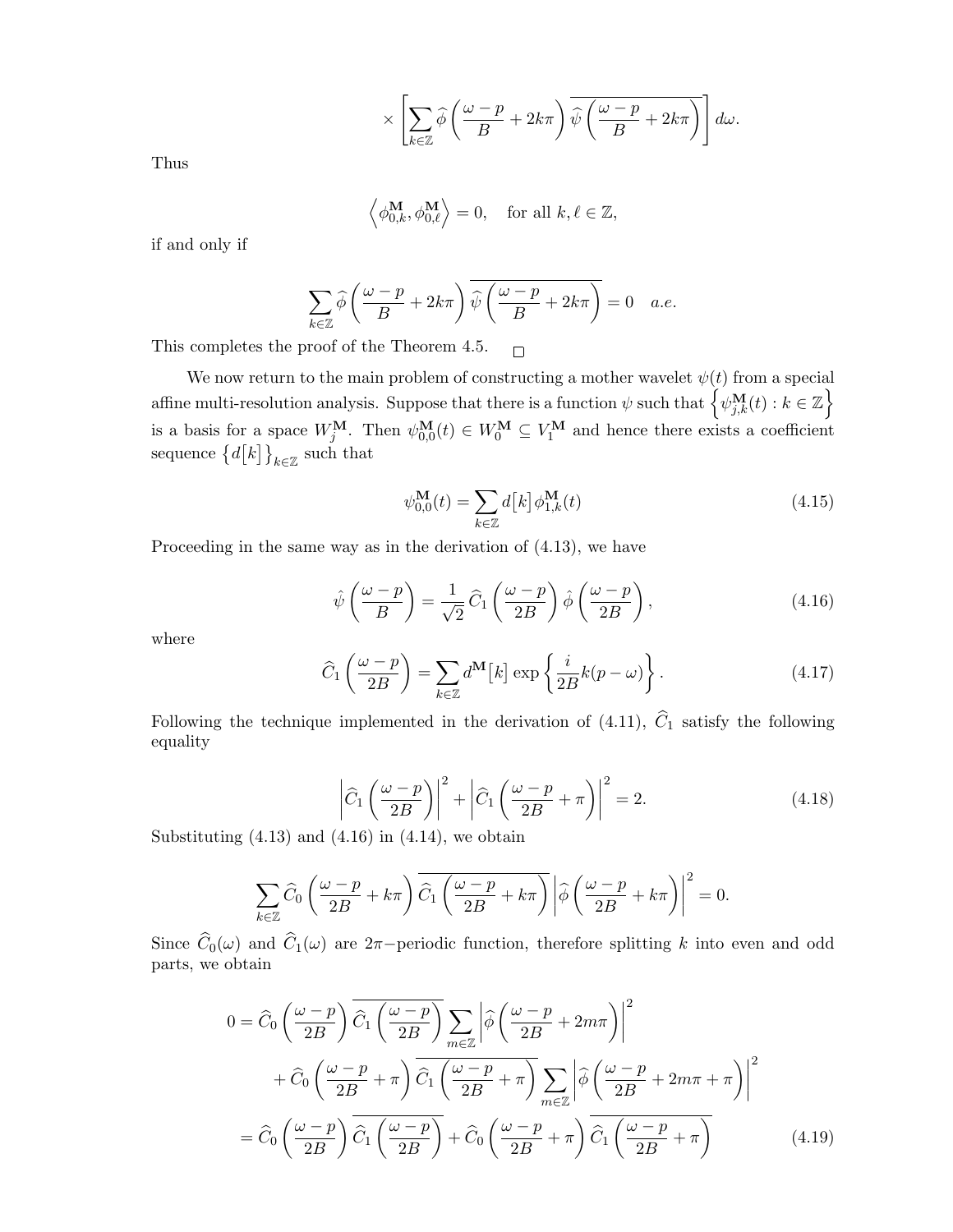$$
\times\left[\sum_{k\in\mathbb{Z}}\widehat{\phi}\left(\frac{\omega-p}{B}+2k\pi\right)\overline{\widehat{\psi}\left(\frac{\omega-p}{B}+2k\pi\right)}\right]d\omega.
$$

Thus

$$
\left\langle \phi_{0,k}^{\mathbf{M}}, \phi_{0,\ell}^{\mathbf{M}} \right\rangle = 0
$$
, for all  $k, \ell \in \mathbb{Z}$ ,

if and only if

$$
\sum_{k\in\mathbb{Z}} \widehat{\phi}\left(\frac{\omega-p}{B} + 2k\pi\right) \overline{\widehat{\psi}\left(\frac{\omega-p}{B} + 2k\pi\right)} = 0 \quad a.e.
$$

This completes the proof of the Theorem 4.5.  $\Box$ 

We now return to the main problem of constructing a mother wavelet  $\psi(t)$  from a special affine multi-resolution analysis. Suppose that there is a function  $\psi$  such that  $\left\{\psi_{j,k}^{\mathbf{M}}(t): k \in \mathbb{Z}\right\}$ is a basis for a space  $W_j^{\mathbf{M}}$ . Then  $\psi_{0,0}^{\mathbf{M}}(t) \in W_0^{\mathbf{M}} \subseteq V_1^{\mathbf{M}}$  and hence there exists a coefficient sequence  $\{d[k]\}_{k\in\mathbb{Z}}$  such that

$$
\psi_{0,0}^{\mathbf{M}}(t) = \sum_{k \in \mathbb{Z}} d[k] \phi_{1,k}^{\mathbf{M}}(t)
$$
\n(4.15)

Proceeding in the same way as in the derivation of (4.13), we have

$$
\hat{\psi}\left(\frac{\omega-p}{B}\right) = \frac{1}{\sqrt{2}}\,\widehat{C}_1\left(\frac{\omega-p}{2B}\right)\hat{\phi}\left(\frac{\omega-p}{2B}\right),\tag{4.16}
$$

where

$$
\widehat{C}_1\left(\frac{\omega-p}{2B}\right) = \sum_{k\in\mathbb{Z}} d^{\mathbf{M}}[k] \exp\left\{\frac{i}{2B}k(p-\omega)\right\}.
$$
 (4.17)

Following the technique implemented in the derivation of (4.11),  $\hat{C}_1$  satisfy the following equality

$$
\left|\widehat{C}_1\left(\frac{\omega-p}{2B}\right)\right|^2 + \left|\widehat{C}_1\left(\frac{\omega-p}{2B} + \pi\right)\right|^2 = 2.
$$
\n(4.18)

Substituting  $(4.13)$  and  $(4.16)$  in  $(4.14)$ , we obtain

$$
\sum_{k\in\mathbb{Z}}\widehat{C}_0\left(\frac{\omega-p}{2B}+k\pi\right)\overline{\widehat{C}_1\left(\frac{\omega-p}{2B}+k\pi\right)}\left|\widehat{\phi}\left(\frac{\omega-p}{2B}+k\pi\right)\right|^2=0.
$$

Since  $\widehat{C}_0(\omega)$  and  $\widehat{C}_1(\omega)$  are 2π−periodic function, therefore splitting k into even and odd parts, we obtain

$$
0 = \widehat{C}_0 \left(\frac{\omega - p}{2B}\right) \overline{\widehat{C}_1 \left(\frac{\omega - p}{2B}\right)} \sum_{m \in \mathbb{Z}} \left| \widehat{\phi} \left(\frac{\omega - p}{2B} + 2m\pi \right) \right|^2
$$
  
+  $\widehat{C}_0 \left(\frac{\omega - p}{2B} + \pi \right) \overline{\widehat{C}_1 \left(\frac{\omega - p}{2B} + \pi \right)} \sum_{m \in \mathbb{Z}} \left| \widehat{\phi} \left(\frac{\omega - p}{2B} + 2m\pi + \pi \right) \right|^2$   
=  $\widehat{C}_0 \left(\frac{\omega - p}{2B}\right) \overline{\widehat{C}_1 \left(\frac{\omega - p}{2B}\right)} + \widehat{C}_0 \left(\frac{\omega - p}{2B} + \pi \right) \overline{\widehat{C}_1 \left(\frac{\omega - p}{2B} + \pi \right)}$  (4.19)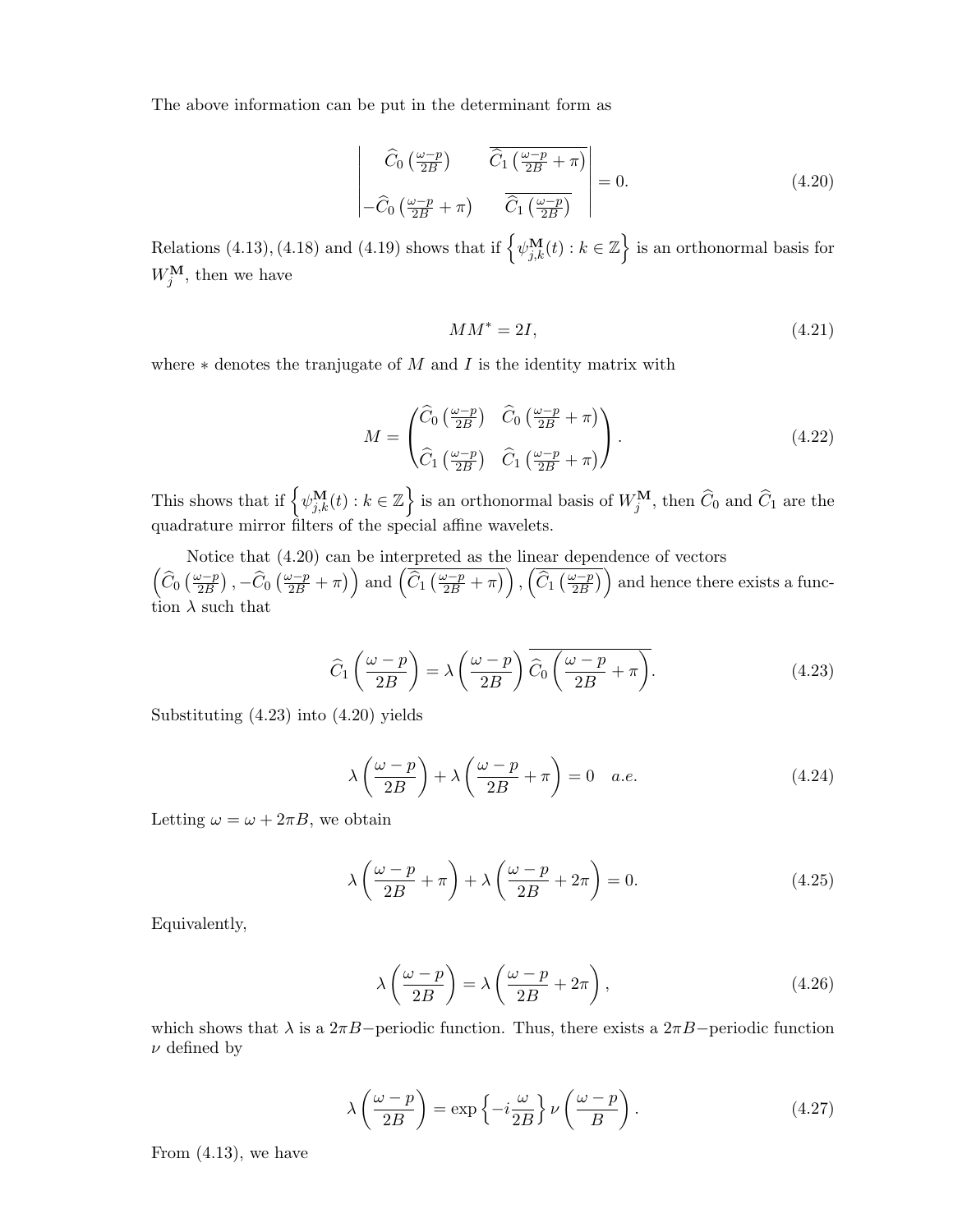The above information can be put in the determinant form as

$$
\begin{vmatrix}\n\widehat{C}_0 \left( \frac{\omega - p}{2B} \right) & \widehat{C}_1 \left( \frac{\omega - p}{2B} + \pi \right) \\
-\widehat{C}_0 \left( \frac{\omega - p}{2B} + \pi \right) & \widehat{C}_1 \left( \frac{\omega - p}{2B} \right)\n\end{vmatrix} = 0.
$$
\n(4.20)

Relations (4.13), (4.18) and (4.19) shows that if  $\left\{\psi_{j,k}^{\mathbf{M}}(t): k \in \mathbb{Z}\right\}$  is an orthonormal basis for  $W_j^{\mathbf{M}},$  then we have

$$
MM^* = 2I, \tag{4.21}
$$

where  $*$  denotes the tranjugate of M and I is the identity matrix with

$$
M = \begin{pmatrix} \widehat{C}_0 \left( \frac{\omega - p}{2B} \right) & \widehat{C}_0 \left( \frac{\omega - p}{2B} + \pi \right) \\ \widehat{C}_1 \left( \frac{\omega - p}{2B} \right) & \widehat{C}_1 \left( \frac{\omega - p}{2B} + \pi \right) \end{pmatrix} . \tag{4.22}
$$

This shows that if  $\left\{\psi_{j,k}^{\mathbf{M}}(t): k \in \mathbb{Z}\right\}$  is an orthonormal basis of  $W_j^{\mathbf{M}}$ , then  $\widehat{C}_0$  and  $\widehat{C}_1$  are the quadrature mirror filters of the special affine wavelets.

Notice that (4.20) can be interpreted as the linear dependence of vectors  $\left(\widehat{C}_0\left(\frac{\omega-p}{2B}\right), -\widehat{C}_0\left(\frac{\omega-p}{2B}+\pi\right)\right)$  and  $\left(\widehat{C}_1\left(\frac{\omega-p}{2B}+\pi\right)\right)$ ,  $\left(\widehat{C}_1\left(\frac{\omega-p}{2B}\right)\right)$  and hence there exists a function  $\lambda$  such that

$$
\widehat{C}_1\left(\frac{\omega-p}{2B}\right) = \lambda\left(\frac{\omega-p}{2B}\right)\overline{\widehat{C}_0\left(\frac{\omega-p}{2B} + \pi\right)}.\tag{4.23}
$$

Substituting (4.23) into (4.20) yields

$$
\lambda \left( \frac{\omega - p}{2B} \right) + \lambda \left( \frac{\omega - p}{2B} + \pi \right) = 0 \quad a.e. \tag{4.24}
$$

Letting  $\omega = \omega + 2\pi B$ , we obtain

$$
\lambda \left( \frac{\omega - p}{2B} + \pi \right) + \lambda \left( \frac{\omega - p}{2B} + 2\pi \right) = 0. \tag{4.25}
$$

Equivalently,

$$
\lambda \left( \frac{\omega - p}{2B} \right) = \lambda \left( \frac{\omega - p}{2B} + 2\pi \right),\tag{4.26}
$$

which shows that  $\lambda$  is a 2πB−periodic function. Thus, there exists a 2πB−periodic function  $\nu$  defined by

$$
\lambda \left( \frac{\omega - p}{2B} \right) = \exp \left\{ -i \frac{\omega}{2B} \right\} \nu \left( \frac{\omega - p}{B} \right). \tag{4.27}
$$

From (4.13), we have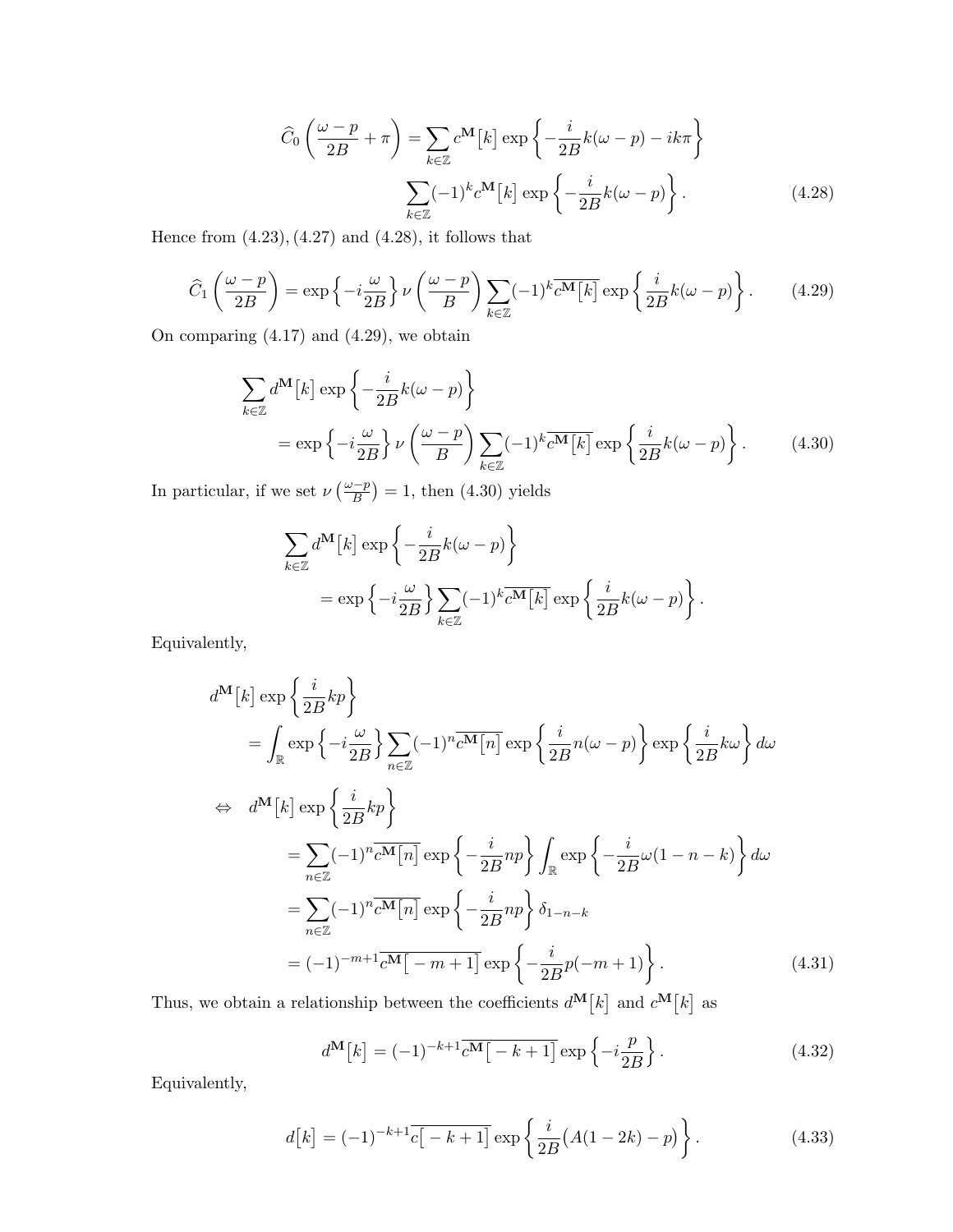$$
\widehat{C}_0 \left( \frac{\omega - p}{2B} + \pi \right) = \sum_{k \in \mathbb{Z}} c^{\mathbf{M}} [k] \exp \left\{ -\frac{i}{2B} k(\omega - p) - ik\pi \right\}
$$

$$
\sum_{k \in \mathbb{Z}} (-1)^k c^{\mathbf{M}} [k] \exp \left\{ -\frac{i}{2B} k(\omega - p) \right\}.
$$
(4.28)

Hence from  $(4.23), (4.27)$  and  $(4.28),$  it follows that

$$
\widehat{C}_1\left(\frac{\omega-p}{2B}\right) = \exp\left\{-i\frac{\omega}{2B}\right\}\nu\left(\frac{\omega-p}{B}\right)\sum_{k\in\mathbb{Z}}(-1)^k\overline{c^{\mathbf{M}}[k]}\exp\left\{\frac{i}{2B}k(\omega-p)\right\}.\tag{4.29}
$$

On comparing (4.17) and (4.29), we obtain

$$
\sum_{k \in \mathbb{Z}} d^{\mathbf{M}}[k] \exp\left\{-\frac{i}{2B}k(\omega - p)\right\}
$$
  
=  $\exp\left\{-i\frac{\omega}{2B}\right\} \nu \left(\frac{\omega - p}{B}\right) \sum_{k \in \mathbb{Z}} (-1)^k \overline{c^{\mathbf{M}}[k]} \exp\left\{\frac{i}{2B}k(\omega - p)\right\}.$  (4.30)

In particular, if we set  $\nu\left(\frac{\omega-p}{B}\right) = 1$ , then (4.30) yields

$$
\sum_{k \in \mathbb{Z}} d^{\mathbf{M}}[k] \exp \left\{-\frac{i}{2B}k(\omega - p)\right\}
$$
  
=  $\exp \left\{-i\frac{\omega}{2B}\right\} \sum_{k \in \mathbb{Z}} (-1)^k \overline{c^{\mathbf{M}}[k]} \exp \left\{\frac{i}{2B}k(\omega - p)\right\}.$ 

Equivalently,

$$
d^{\mathbf{M}}[k] \exp\left\{\frac{i}{2B}kp\right\}
$$
  
\n
$$
= \int_{\mathbb{R}} \exp\left\{-i\frac{\omega}{2B}\right\} \sum_{n\in\mathbb{Z}} (-1)^n \overline{c^{\mathbf{M}}[n]} \exp\left\{\frac{i}{2B}n(\omega - p)\right\} \exp\left\{\frac{i}{2B}k\omega\right\} d\omega
$$
  
\n
$$
\Leftrightarrow d^{\mathbf{M}}[k] \exp\left\{\frac{i}{2B}kp\right\}
$$
  
\n
$$
= \sum_{n\in\mathbb{Z}} (-1)^n \overline{c^{\mathbf{M}}[n]} \exp\left\{-\frac{i}{2B}np\right\} \int_{\mathbb{R}} \exp\left\{-\frac{i}{2B}\omega(1 - n - k)\right\} d\omega
$$
  
\n
$$
= \sum_{n\in\mathbb{Z}} (-1)^n \overline{c^{\mathbf{M}}[n]} \exp\left\{-\frac{i}{2B}np\right\} \delta_{1-n-k}
$$
  
\n
$$
= (-1)^{-m+1} \overline{c^{\mathbf{M}}[-m+1]} \exp\left\{-\frac{i}{2B}p(-m+1)\right\}.
$$
 (4.31)

Thus, we obtain a relationship between the coefficients  $d^{\mathbf{M}}[k]$  and  $c^{\mathbf{M}}[k]$  as

$$
d^{\mathbf{M}}[k] = (-1)^{-k+1} \overline{c^{\mathbf{M}}[-k+1]} \exp\left\{-i\frac{p}{2B}\right\}.
$$
 (4.32)

Equivalently,

$$
d[k] = (-1)^{-k+1} \overline{c[-k+1]} \exp\left\{\frac{i}{2B} (A(1-2k) - p)\right\}.
$$
 (4.33)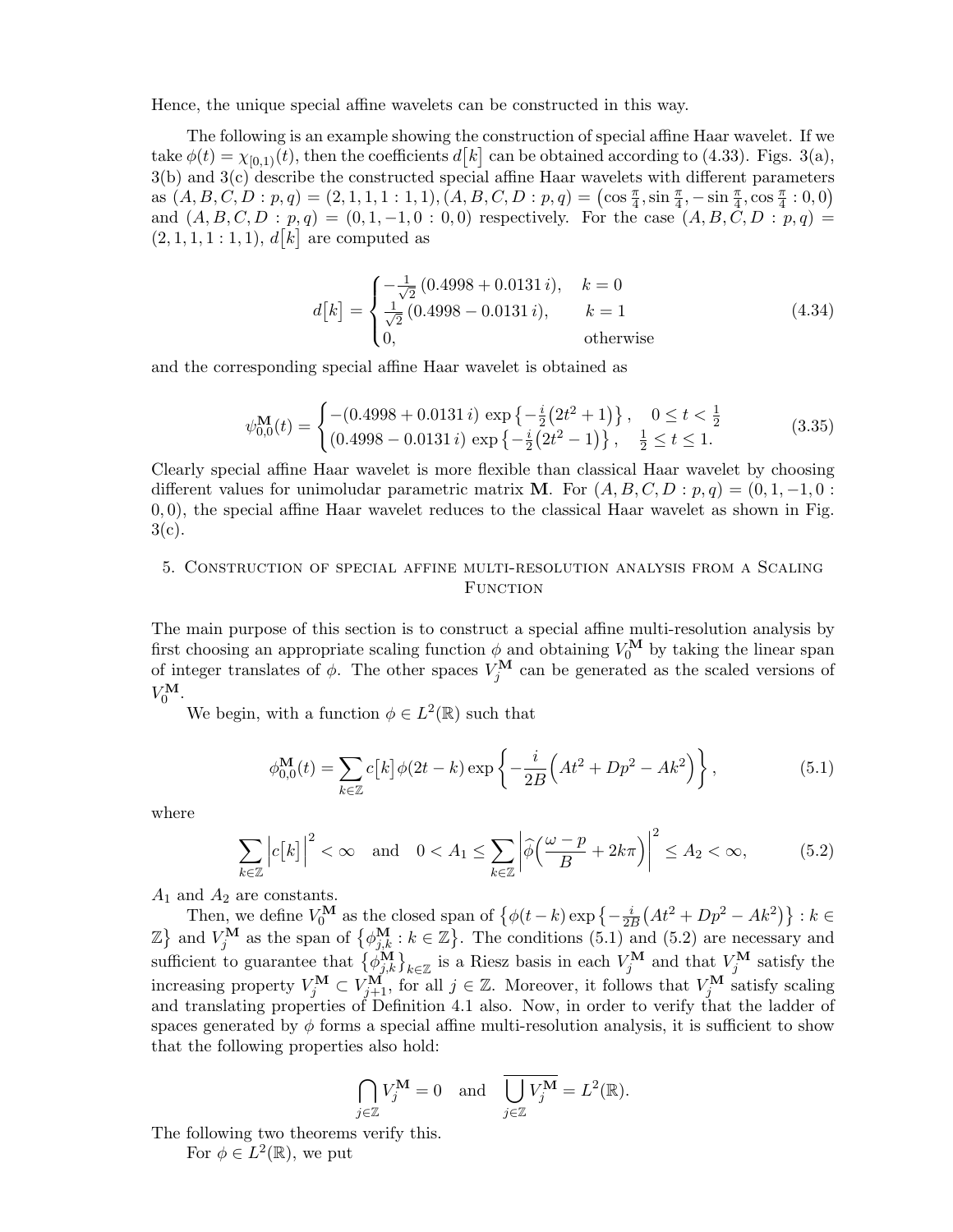Hence, the unique special affine wavelets can be constructed in this way.

The following is an example showing the construction of special affine Haar wavelet. If we take  $\phi(t) = \chi_{[0,1)}(t)$ , then the coefficients  $d[k]$  can be obtained according to (4.33). Figs. 3(a), 3(b) and 3(c) describe the constructed special affine Haar wavelets with different parameters as  $(A, B, C, D : p, q) = (2, 1, 1, 1 : 1, 1), (A, B, C, D : p, q) = (\cos \frac{\pi}{4}, \sin \frac{\pi}{4}, -\sin \frac{\pi}{4}, \cos \frac{\pi}{4} : 0, 0)$ and  $(A, B, C, D : p, q) = (0, 1, -1, 0 : 0, 0)$  respectively. For the case  $(A, B, C, D : p, q) =$  $(2, 1, 1, 1: 1, 1), d[k]$  are computed as

$$
d[k] = \begin{cases} -\frac{1}{\sqrt{2}} (0.4998 + 0.0131 i), & k = 0\\ \frac{1}{\sqrt{2}} (0.4998 - 0.0131 i), & k = 1\\ 0, & \text{otherwise} \end{cases}
$$
(4.34)

and the corresponding special affine Haar wavelet is obtained as

$$
\psi_{0,0}^{\mathbf{M}}(t) = \begin{cases}\n-(0.4998 + 0.0131 i) \exp\left\{-\frac{i}{2}(2t^2 + 1)\right\}, & 0 \le t < \frac{1}{2} \\
(0.4998 - 0.0131 i) \exp\left\{-\frac{i}{2}(2t^2 - 1)\right\}, & \frac{1}{2} \le t \le 1.\n\end{cases}
$$
\n(3.35)

Clearly special affine Haar wavelet is more flexible than classical Haar wavelet by choosing different values for unimoludar parametric matrix **M**. For  $(A, B, C, D : p, q) = (0, 1, -1, 0:$ 0, 0), the special affine Haar wavelet reduces to the classical Haar wavelet as shown in Fig. 3(c).

# 5. Construction of special affine multi-resolution analysis from a Scaling FUNCTION

The main purpose of this section is to construct a special affine multi-resolution analysis by first choosing an appropriate scaling function  $\phi$  and obtaining  $V_0^{\mathbf{M}}$  by taking the linear span of integer translates of  $\phi$ . The other spaces  $V_j^{\mathbf{M}}$  can be generated as the scaled versions of  $V_0^{\mathbf{M}}.$ 

We begin, with a function  $\phi \in L^2(\mathbb{R})$  such that

$$
\phi_{0,0}^{\mathbf{M}}(t) = \sum_{k \in \mathbb{Z}} c[k] \phi(2t - k) \exp\left\{-\frac{i}{2B} \left(At^2 + Dp^2 - Ak^2\right)\right\},\tag{5.1}
$$

where

$$
\sum_{k \in \mathbb{Z}} \left| c[k] \right|^2 < \infty \quad \text{and} \quad 0 < A_1 \le \sum_{k \in \mathbb{Z}} \left| \widehat{\phi} \left( \frac{\omega - p}{B} + 2k\pi \right) \right|^2 \le A_2 < \infty,\tag{5.2}
$$

 $A_1$  and  $A_2$  are constants.

Then, we define  $V_0^{\mathbf{M}}$  as the closed span of  $\{\phi(t-k)\exp\left\{-\frac{i}{2l}\right\}$  $\frac{i}{2B}(At^2 + Dp^2 - Ak^2)$  :  $k \in$  $\mathbb{Z}$  and  $V_j^{\mathbf{M}}$  as the span of  $\{\phi_{j,k}^{\mathbf{M}} : k \in \mathbb{Z}\}$ . The conditions (5.1) and (5.2) are necessary and sufficient to guarantee that  $\{\phi_{j,k}^{\mathbf{M}}\}_{k\in\mathbb{Z}}$  is a Riesz basis in each  $V_j^{\mathbf{M}}$  and that  $V_j^{\mathbf{M}}$  satisfy the increasing property  $V_j^{\mathbf{M}} \subset V_{j+1}^{\mathbf{M}}$ , for all  $j \in \mathbb{Z}$ . Moreover, it follows that  $V_j^{\mathbf{M}}$  satisfy scaling and translating properties of Definition 4.1 also. Now, in order to verify that the ladder of spaces generated by  $\phi$  forms a special affine multi-resolution analysis, it is sufficient to show that the following properties also hold:

$$
\bigcap_{j\in\mathbb{Z}}V_j^{\mathbf{M}}=0 \text{ and } \overline{\bigcup_{j\in\mathbb{Z}}V_j^{\mathbf{M}}}=L^2(\mathbb{R}).
$$

The following two theorems verify this.

For  $\phi \in L^2(\mathbb{R})$ , we put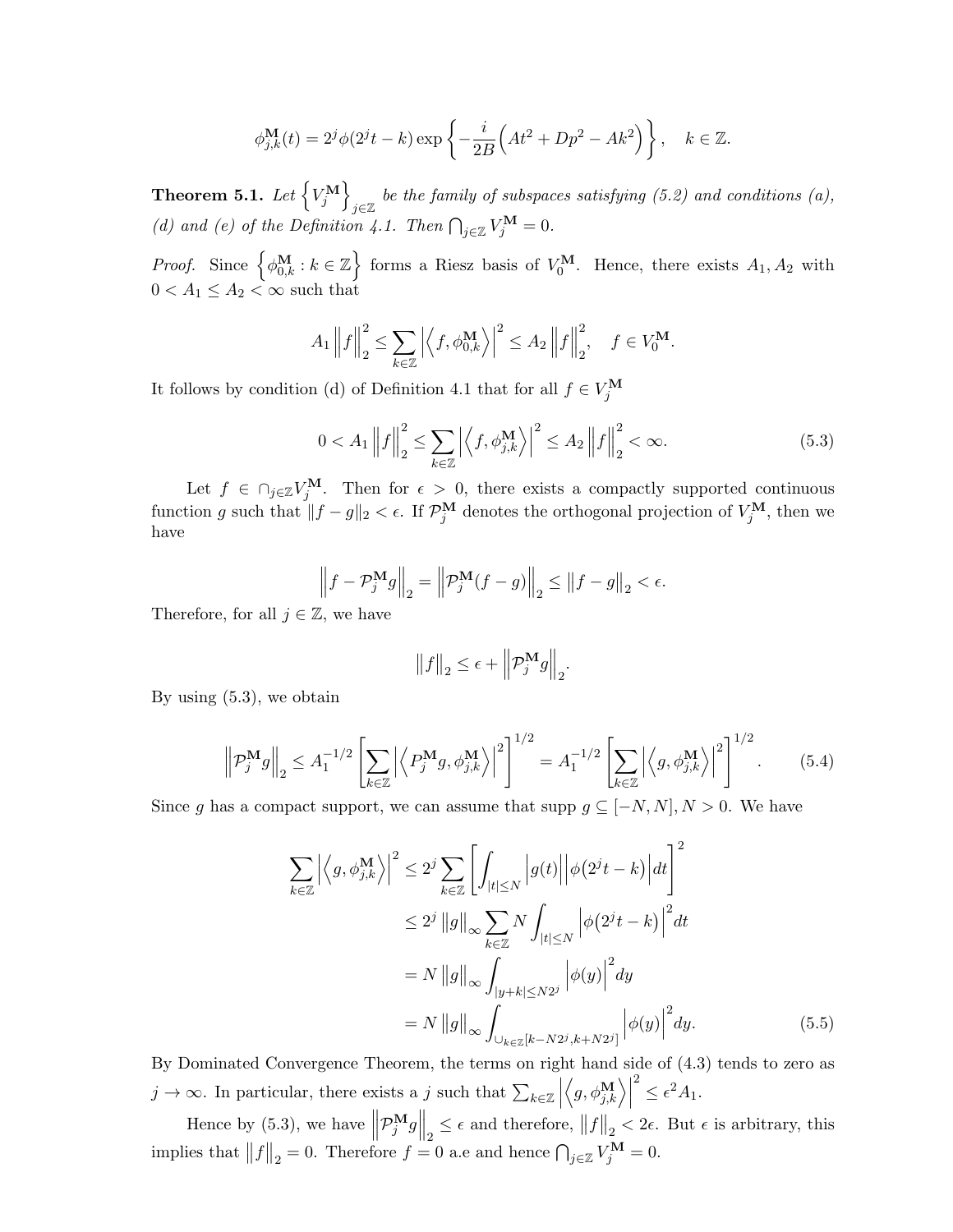$$
\phi_{j,k}^{\mathbf{M}}(t) = 2^j \phi(2^j t - k) \exp\left\{-\frac{i}{2B} \left(At^2 + Dp^2 - Ak^2\right)\right\}, \quad k \in \mathbb{Z}.
$$

Theorem 5.1. Let  $\left\{V_j^{\textbf{M}}\right\}$ be the family of subspaces satisfying (5.2) and conditions (a),  $j \in \mathbb{Z}$ (d) and (e) of the Definition 4.1. Then  $\bigcap_{j\in\mathbb{Z}}V_j^{\mathbf{M}}=0$ .

*Proof.* Since  $\left\{\phi_{0,k}^{\mathbf{M}} : k \in \mathbb{Z}\right\}$  forms a Riesz basis of  $V_0^{\mathbf{M}}$ . Hence, there exists  $A_1, A_2$  with  $0 < A_1 \leq A_2 < \infty$  such that

$$
A_1 \|f\|_2^2 \le \sum_{k\in\mathbb{Z}} \left| \left\langle f, \phi_{0,k}^{\mathbf{M}} \right\rangle \right|^2 \le A_2 \|f\|_2^2, \quad f \in V_0^{\mathbf{M}}.
$$

It follows by condition (d) of Definition 4.1 that for all  $f \in V_j^{\mathbf{M}}$ 

$$
0 < A_1 \left\| f \right\|_2^2 \le \sum_{k \in \mathbb{Z}} \left| \left\langle f, \phi_{j,k}^{\mathbf{M}} \right\rangle \right|^2 \le A_2 \left\| f \right\|_2^2 < \infty. \tag{5.3}
$$

Let  $f \in \bigcap_{j\in \mathbb{Z}} V_j^{\mathbf{M}}$ . Then for  $\epsilon > 0$ , there exists a compactly supported continuous function g such that  $||f - g||_2 < \epsilon$ . If  $\mathcal{P}_j^{\mathbf{M}}$  denotes the orthogonal projection of  $V_j^{\mathbf{M}}$ , then we have

$$
\left\|f - \mathcal{P}_j^{\mathbf{M}}g\right\|_2 = \left\|\mathcal{P}_j^{\mathbf{M}}(f - g)\right\|_2 \le \left\|f - g\right\|_2 < \epsilon.
$$

Therefore, for all  $j \in \mathbb{Z}$ , we have

$$
||f||_2 \le \epsilon + ||\mathcal{P}_j^{\mathbf{M}}g||_2.
$$

By using (5.3), we obtain

$$
\left\|\mathcal{P}_{j}^{\mathbf{M}}g\right\|_{2} \leq A_{1}^{-1/2} \left[\sum_{k\in\mathbb{Z}}\left|\left\langle P_{j}^{\mathbf{M}}g,\phi_{j,k}^{\mathbf{M}}\right\rangle\right|^{2}\right]^{1/2} = A_{1}^{-1/2} \left[\sum_{k\in\mathbb{Z}}\left|\left\langle g,\phi_{j,k}^{\mathbf{M}}\right\rangle\right|^{2}\right]^{1/2}.
$$
 (5.4)

Since g has a compact support, we can assume that supp  $g \subseteq [-N, N], N > 0$ . We have

$$
\sum_{k \in \mathbb{Z}} \left| \left\langle g, \phi_{j,k}^{\mathbf{M}} \right\rangle \right|^2 \leq 2^j \sum_{k \in \mathbb{Z}} \left[ \int_{|t| \leq N} \left| g(t) \right| \left| \phi(2^j t - k) \right| dt \right]^2
$$
\n
$$
\leq 2^j \left\| g \right\|_{\infty} \sum_{k \in \mathbb{Z}} N \int_{|t| \leq N} \left| \phi(2^j t - k) \right|^2 dt
$$
\n
$$
= N \left\| g \right\|_{\infty} \int_{|y + k| \leq N2^j} \left| \phi(y) \right|^2 dy
$$
\n
$$
= N \left\| g \right\|_{\infty} \int_{\cup_{k \in \mathbb{Z}} [k - N2^j, k + N2^j]} \left| \phi(y) \right|^2 dy. \tag{5.5}
$$

By Dominated Convergence Theorem, the terms on right hand side of (4.3) tends to zero as  $j \to \infty$ . In particular, there exists a j such that  $\sum_{k \in \mathbb{Z}}$  $\left\langle g, \phi_{j,k}^{\mathbf{M}}\right\rangle \Big\vert$  $2^2 \leq \epsilon^2 A_1.$ 

Hence by (5.3), we have  $\left\|\mathcal{P}_{j}^{\mathbf{M}}g\right\|_{2} \leq \epsilon$  and therefore,  $\left\|f\right\|_{2} < 2\epsilon$ . But  $\epsilon$  is arbitrary, this implies that  $||f||_2 = 0$ . Therefore  $f = 0$  a.e and hence  $\bigcap_{j \in \mathbb{Z}} V_j^{\mathbf{M}} = 0$ .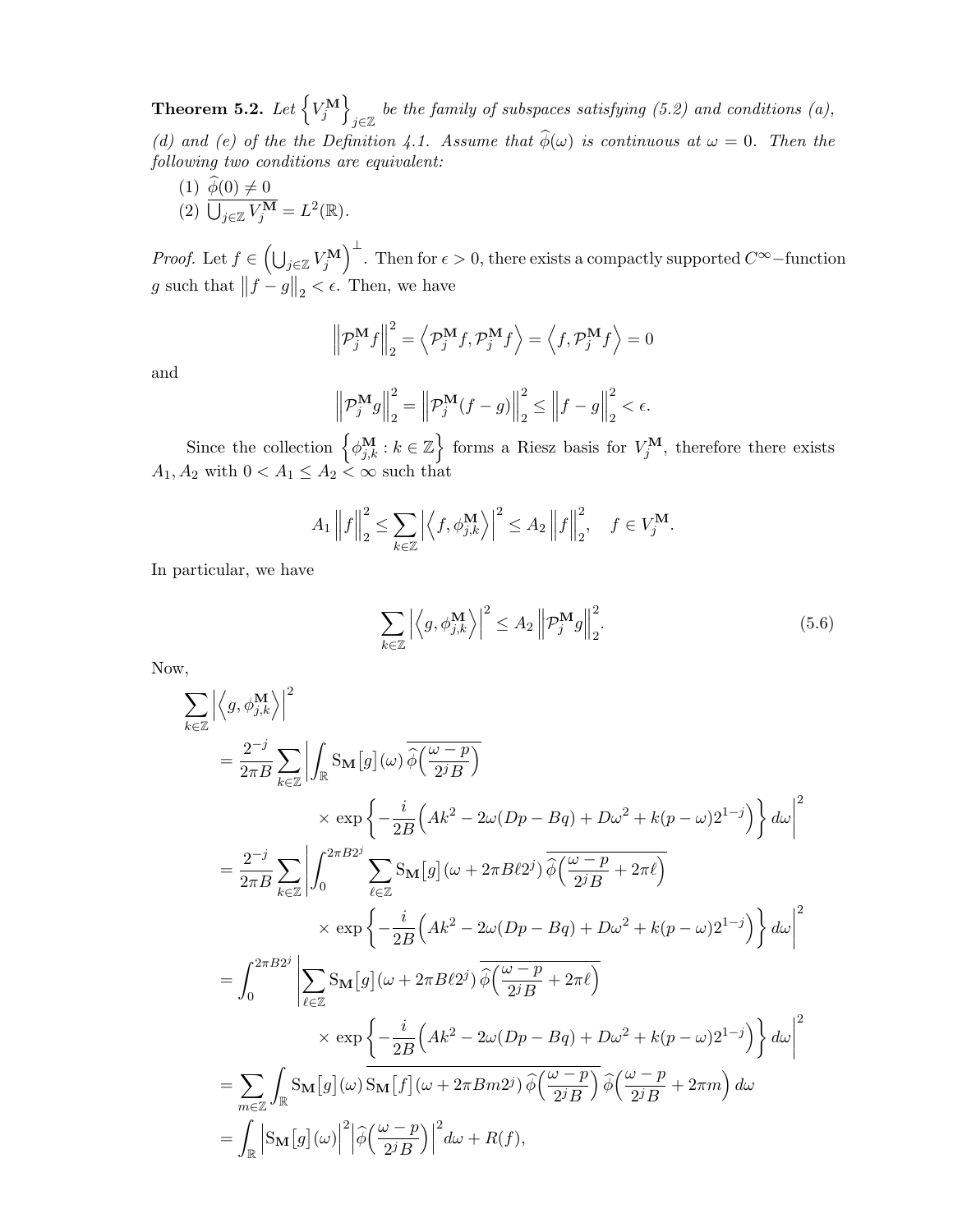Theorem 5.2. Let  $\left\{V_j^{\textbf{M}}\right\}$ be the family of subspaces satisfying  $(5.2)$  and conditions  $(a)$ ,  $j \in \mathbb{Z}$ (d) and (e) of the the Definition 4.1. Assume that  $\hat{\phi}(\omega)$  is continuous at  $\omega = 0$ . Then the following two conditions are equivalent:

(1)  $\phi(0) \neq 0$ (2)  $\overline{\bigcup_{j\in\mathbb{Z}}V_j^{\mathbf{M}}}=L^2(\mathbb{R}).$ 

Proof. Let  $f \in \left(\bigcup_{j\in\mathbb{Z}}V_j^{\mathbf{M}}\right)^{\perp}$ . Then for  $\epsilon > 0$ , there exists a compactly supported  $C^{\infty}$ –function g such that  $||f - g||_2 < \epsilon$ . Then, we have

$$
\left\|\mathcal{P}_{j}^{\mathbf{M}}f\right\|_{2}^{2} = \left\langle \mathcal{P}_{j}^{\mathbf{M}}f, \mathcal{P}_{j}^{\mathbf{M}}f\right\rangle = \left\langle f, \mathcal{P}_{j}^{\mathbf{M}}f\right\rangle = 0
$$

and

$$
\left\|\mathcal{P}_{j}^{\mathbf{M}}g\right\|_{2}^{2} = \left\|\mathcal{P}_{j}^{\mathbf{M}}(f-g)\right\|_{2}^{2} \le \left\|f-g\right\|_{2}^{2} < \epsilon.
$$

Since the collection  $\left\{\phi_{j,k}^{\mathbf{M}}:k\in\mathbb{Z}\right\}$  forms a Riesz basis for  $V_j^{\mathbf{M}}$ , therefore there exists  $A_1, A_2$  with  $0 < A_1 \leq A_2 < \infty$  such that

$$
A_1 \|f\|_2^2 \le \sum_{k \in \mathbb{Z}} \left| \left\langle f, \phi_{j,k}^{\mathbf{M}} \right\rangle \right|^2 \le A_2 \|f\|_2^2, \quad f \in V_j^{\mathbf{M}}.
$$

In particular, we have

$$
\sum_{k \in \mathbb{Z}} \left| \left\langle g, \phi_{j,k}^{\mathbf{M}} \right\rangle \right|^2 \le A_2 \left\| \mathcal{P}_j^{\mathbf{M}} g \right\|_2^2. \tag{5.6}
$$

Now,

$$
\sum_{k \in \mathbb{Z}} \left| \left\langle g, \phi_{j,k}^{\mathbf{M}} \right\rangle \right|^2
$$
\n
$$
= \frac{2^{-j}}{2\pi B} \sum_{k \in \mathbb{Z}} \left| \int_{\mathbb{R}} S_{\mathbf{M}}[g](\omega) \overline{\hat{\phi}(\frac{\omega - p}{2^j B})} \right|
$$
\n
$$
\times \exp \left\{ -\frac{i}{2B} \left( Ak^2 - 2\omega (Dp - Bq) + D\omega^2 + k(p - \omega)2^{1-j} \right) \right\} d\omega \right|^2
$$
\n
$$
= \frac{2^{-j}}{2\pi B} \sum_{k \in \mathbb{Z}} \left| \int_0^{2\pi B2^j} \sum_{\ell \in \mathbb{Z}} S_{\mathbf{M}}[g](\omega + 2\pi B\ell 2^j) \overline{\hat{\phi}(\frac{\omega - p}{2^j B} + 2\pi \ell)} \right|
$$
\n
$$
\times \exp \left\{ -\frac{i}{2B} \left( Ak^2 - 2\omega (Dp - Bq) + D\omega^2 + k(p - \omega)2^{1-j} \right) \right\} d\omega \right|^2
$$
\n
$$
= \int_0^{2\pi B2^j} \left| \sum_{\ell \in \mathbb{Z}} S_{\mathbf{M}}[g](\omega + 2\pi B\ell 2^j) \overline{\hat{\phi}(\frac{\omega - p}{2^j B} + 2\pi \ell)} \right|
$$
\n
$$
\times \exp \left\{ -\frac{i}{2B} \left( Ak^2 - 2\omega (Dp - Bq) + D\omega^2 + k(p - \omega)2^{1-j} \right) \right\} d\omega \right|^2
$$
\n
$$
= \sum_{m \in \mathbb{Z}} \int_{\mathbb{R}} S_{\mathbf{M}}[g](\omega) \overline{S_{\mathbf{M}}[f](\omega + 2\pi Bm2^j) \hat{\phi}(\frac{\omega - p}{2^j B})} \hat{\phi}(\frac{\omega - p}{2^j B} + 2\pi m) d\omega
$$
\n
$$
= \int_{\mathbb{R}} \left| S_{\mathbf{M}}[g](\omega) \right|^2 \left| \hat{\phi}(\frac{\omega - p}{2^j B}) \right|^2 d\omega +
$$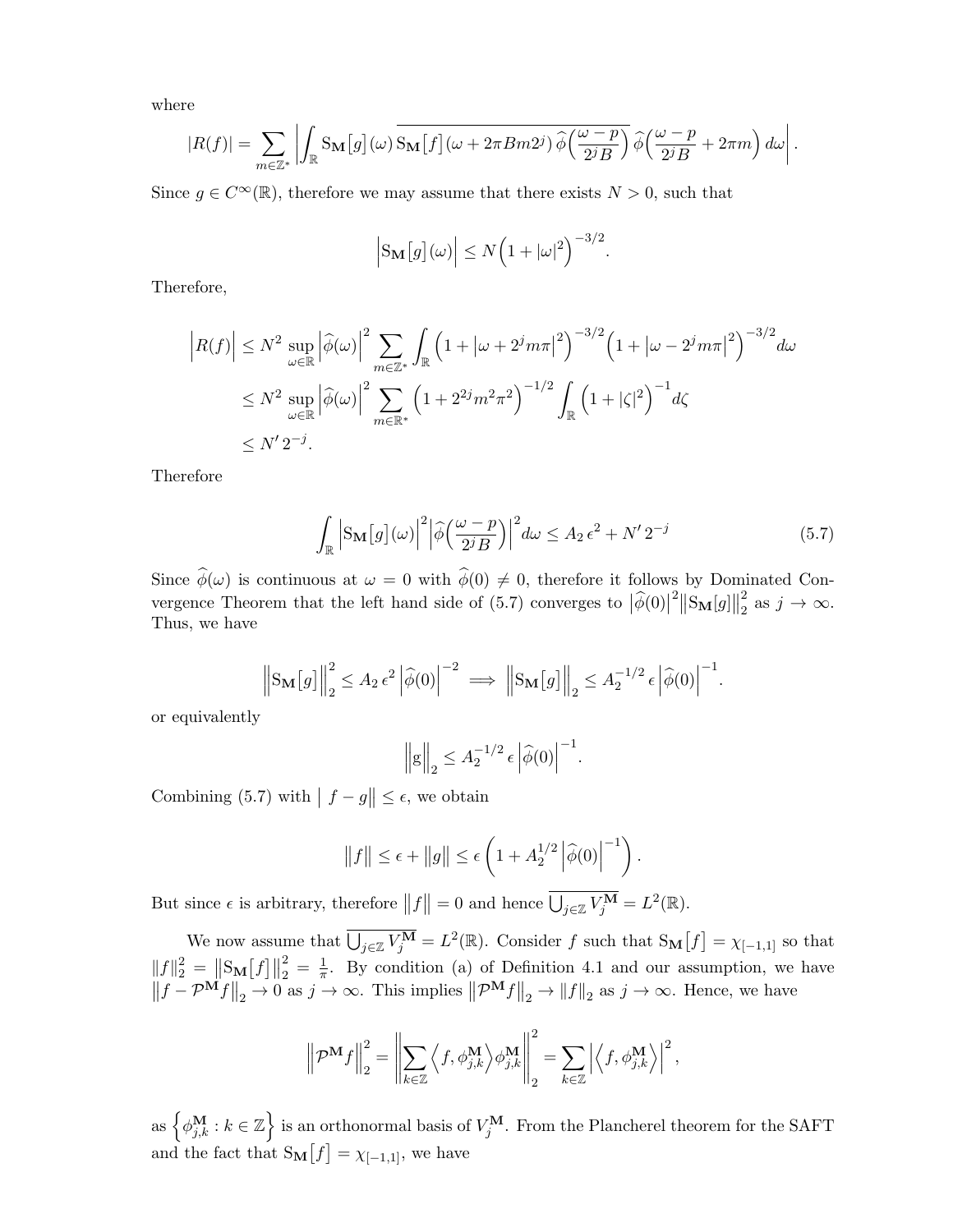where

$$
|R(f)| = \sum_{m \in \mathbb{Z}^*} \left| \int_{\mathbb{R}} S_{\mathbf{M}}[g](\omega) \overline{S_{\mathbf{M}}[f](\omega + 2\pi B m 2^j)} \widehat{\phi}\left(\frac{\omega - p}{2^j B}\right) \widehat{\phi}\left(\frac{\omega - p}{2^j B} + 2\pi m\right) d\omega \right|.
$$

Since  $g \in C^{\infty}(\mathbb{R})$ , therefore we may assume that there exists  $N > 0$ , such that

$$
\Big|\mathrm{S}_{\mathbf{M}}\big[g\big](\omega)\Big| \le N\Big(1+|\omega|^2\Big)^{-3/2}.
$$

Therefore,

$$
\left| R(f) \right| \leq N^2 \sup_{\omega \in \mathbb{R}} \left| \widehat{\phi}(\omega) \right|^2 \sum_{m \in \mathbb{Z}^*} \int_{\mathbb{R}} \left( 1 + \left| \omega + 2^j m \pi \right|^2 \right)^{-3/2} \left( 1 + \left| \omega - 2^j m \pi \right|^2 \right)^{-3/2} d\omega
$$
  

$$
\leq N^2 \sup_{\omega \in \mathbb{R}} \left| \widehat{\phi}(\omega) \right|^2 \sum_{m \in \mathbb{R}^*} \left( 1 + 2^{2j} m^2 \pi^2 \right)^{-1/2} \int_{\mathbb{R}} \left( 1 + |\zeta|^2 \right)^{-1} d\zeta
$$
  

$$
\leq N' 2^{-j}.
$$

Therefore

$$
\int_{\mathbb{R}} \left| S_{\mathbf{M}}[g](\omega) \right|^2 \left| \widehat{\phi} \left( \frac{\omega - p}{2^j B} \right) \right|^2 d\omega \le A_2 \epsilon^2 + N' 2^{-j} \tag{5.7}
$$

Since  $\hat{\phi}(\omega)$  is continuous at  $\omega = 0$  with  $\hat{\phi}(0) \neq 0$ , therefore it follows by Dominated Convergence Theorem that the left hand side of (5.7) converges to  $|\hat{\phi}(0)|$  $\frac{2}{\left\| \text{S}_{\mathbf{M}}[g]\right\| }$ 2  $\frac{2}{2}$  as  $j \to \infty$ . Thus, we have

$$
\left\|\operatorname{S}_{\mathbf{M}}[g]\right\|_{2}^{2} \leq A_{2} \epsilon^{2} \left|\widehat{\phi}(0)\right|^{-2} \implies \left\|\operatorname{S}_{\mathbf{M}}[g]\right\|_{2} \leq A_{2}^{-1/2} \epsilon \left|\widehat{\phi}(0)\right|^{-1}.
$$

or equivalently

$$
\left\|g\right\|_2 \leq A_2^{-1/2} \epsilon \left|\widehat{\phi}(0)\right|^{-1}.
$$

Combining (5.7) with  $\left| f - g \right| \leq \epsilon$ , we obtain

$$
||f|| \leq \epsilon + ||g|| \leq \epsilon \left(1 + A_2^{1/2} \left| \widehat{\phi}(0) \right|^{-1} \right).
$$

But since  $\epsilon$  is arbitrary, therefore  $||f|| = 0$  and hence  $\overline{\bigcup_{j \in \mathbb{Z}} V_j^{\mathbf{M}}} = L^2(\mathbb{R})$ .

We now assume that  $\overline{\bigcup_{j\in\mathbb{Z}}V_j^{\mathbf{M}}}=L^2(\mathbb{R})$ . Consider f such that  $S_{\mathbf{M}}[f]=\chi_{[-1,1]}$  so that  $||f||_2^2 = ||\mathbf{S_M}[f]||$ 2  $\frac{2}{2} = \frac{1}{\pi}$  $\frac{1}{\pi}$ . By condition (a) of Definition 4.1 and our assumption, we have  $||f - \mathcal{P}^{\mathbf{M}}f||_2 \to 0$  as  $j \to \infty$ . This implies  $||\mathcal{P}^{\mathbf{M}}f||_2 \to ||f||_2$  as  $j \to \infty$ . Hence, we have

$$
\left\|\mathcal{P}^{\mathbf{M}}f\right\|_{2}^{2}=\left\|\sum_{k\in\mathbb{Z}}\left\langle f,\phi_{j,k}^{\mathbf{M}}\right\rangle \phi_{j,k}^{\mathbf{M}}\right\|_{2}^{2}=\sum_{k\in\mathbb{Z}}\left|\left\langle f,\phi_{j,k}^{\mathbf{M}}\right\rangle \right|^{2},
$$

as  $\left\{\phi_{j,k}^{\mathbf{M}}:k\in\mathbb{Z}\right\}$  is an orthonormal basis of  $V_j^{\mathbf{M}}$ . From the Plancherel theorem for the SAFT and the fact that  $S_{\mathbf{M}}[f] = \chi_{[-1,1]},$  we have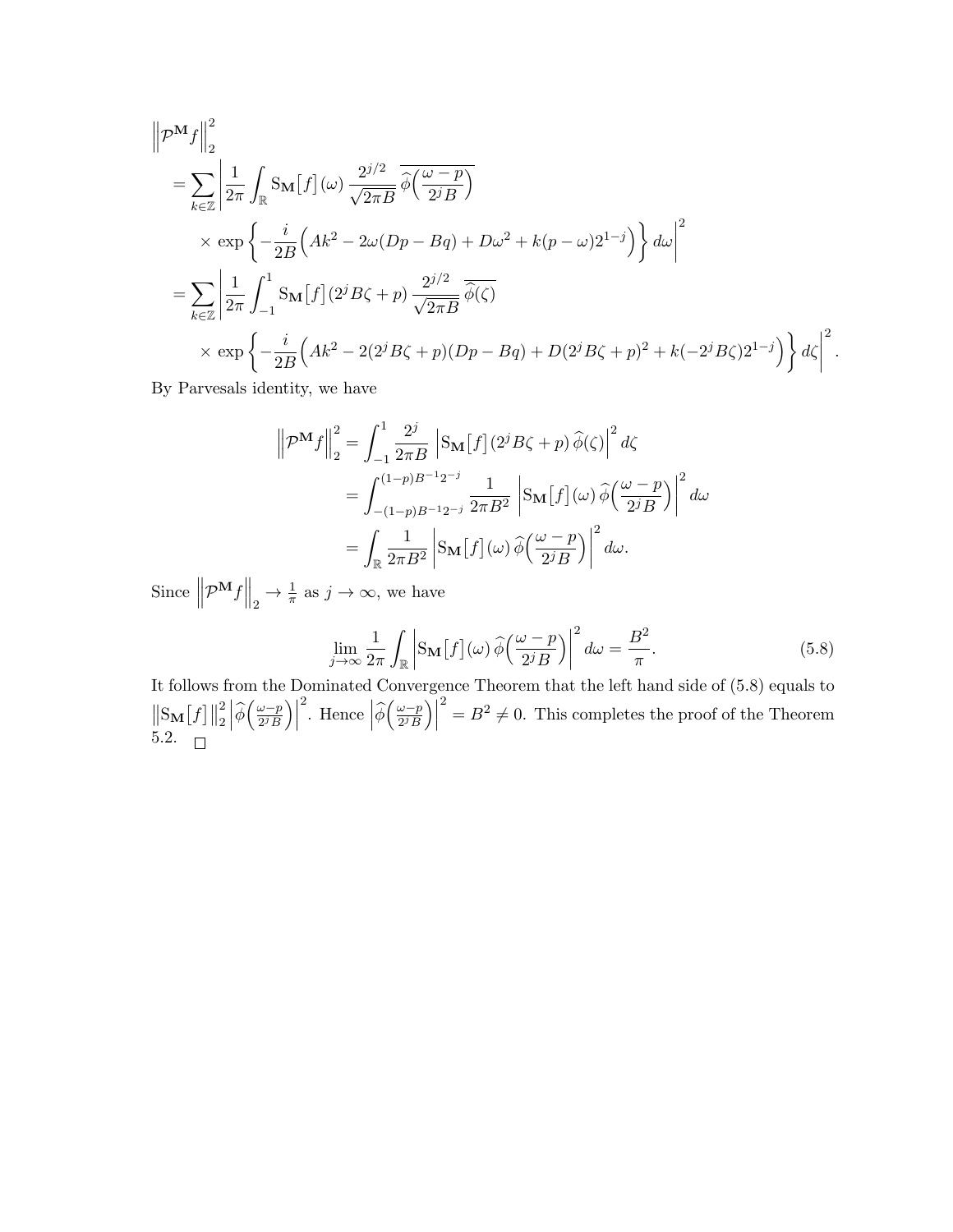$$
\begin{split}\n\left\|\mathcal{P}^{\mathbf{M}}f\right\|_{2}^{2} \\
&= \sum_{k\in\mathbb{Z}} \left| \frac{1}{2\pi} \int_{\mathbb{R}} \mathrm{S}_{\mathbf{M}}[f](\omega) \frac{2^{j/2}}{\sqrt{2\pi B}} \overline{\hat{\phi}\left(\frac{\omega-p}{2^{j}B}\right)} \\
&\times \exp\left\{-\frac{i}{2B}\left(Ak^{2} - 2\omega(Dp - Bq) + D\omega^{2} + k(p - \omega)2^{1-j}\right)\right\} d\omega\right|^{2} \\
&= \sum_{k\in\mathbb{Z}} \left| \frac{1}{2\pi} \int_{-1}^{1} \mathrm{S}_{\mathbf{M}}[f](2^{j}B\zeta + p) \frac{2^{j/2}}{\sqrt{2\pi B}} \overline{\hat{\phi}(\zeta)} \\
&\times \exp\left\{-\frac{i}{2B}\left(Ak^{2} - 2(2^{j}B\zeta + p)(Dp - Bq) + D(2^{j}B\zeta + p)^{2} + k(-2^{j}B\zeta)2^{1-j}\right)\right\} d\zeta\right|^{2}.\n\end{split}
$$

By Parvesals identity, we have

$$
\left\|\mathcal{P}^{\mathbf{M}}f\right\|_{2}^{2} = \int_{-1}^{1} \frac{2^{j}}{2\pi B} \left|S_{\mathbf{M}}[f](2^{j}B\zeta + p) \widehat{\phi}(\zeta)\right|^{2} d\zeta
$$
  
= 
$$
\int_{-(1-p)B^{-1}2^{-j}}^{(1-p)B^{-1}2^{-j}} \frac{1}{2\pi B^{2}} \left|S_{\mathbf{M}}[f](\omega) \widehat{\phi}\left(\frac{\omega - p}{2^{j}B}\right)\right|^{2} d\omega
$$
  
= 
$$
\int_{\mathbb{R}} \frac{1}{2\pi B^{2}} \left|S_{\mathbf{M}}[f](\omega) \widehat{\phi}\left(\frac{\omega - p}{2^{j}B}\right)\right|^{2} d\omega.
$$

Since  $\left\| \mathcal{P}^{\mathbf{M}} f \right\|_2 \to \frac{1}{\pi}$  as  $j \to \infty$ , we have

$$
\lim_{j \to \infty} \frac{1}{2\pi} \int_{\mathbb{R}} \left| S_{\mathbf{M}}[f](\omega) \widehat{\phi}\left(\frac{\omega - p}{2^{j}B}\right) \right|^{2} d\omega = \frac{B^{2}}{\pi}.
$$
\n(5.8)

It follows from the Dominated Convergence Theorem that the left hand side of (5.8) equals to  $\|\mathrm{S}_{\mathbf{M}}[f]\|$ 2 2  $\left| \widehat{\phi}\left(\frac{\omega-p}{2^jB}\right)\right|$  $\left| \frac{\omega - p}{2^j B} \right) \right|$ <sup>2</sup>. Hence  $\left|\widehat{\phi}\left(\frac{\omega-p}{2^jB}\right)\right|$  $\left. \frac{\omega-p}{2^{j}B}\right)$  $2^2 = B^2 \neq 0$ . This completes the proof of the Theorem 5.2.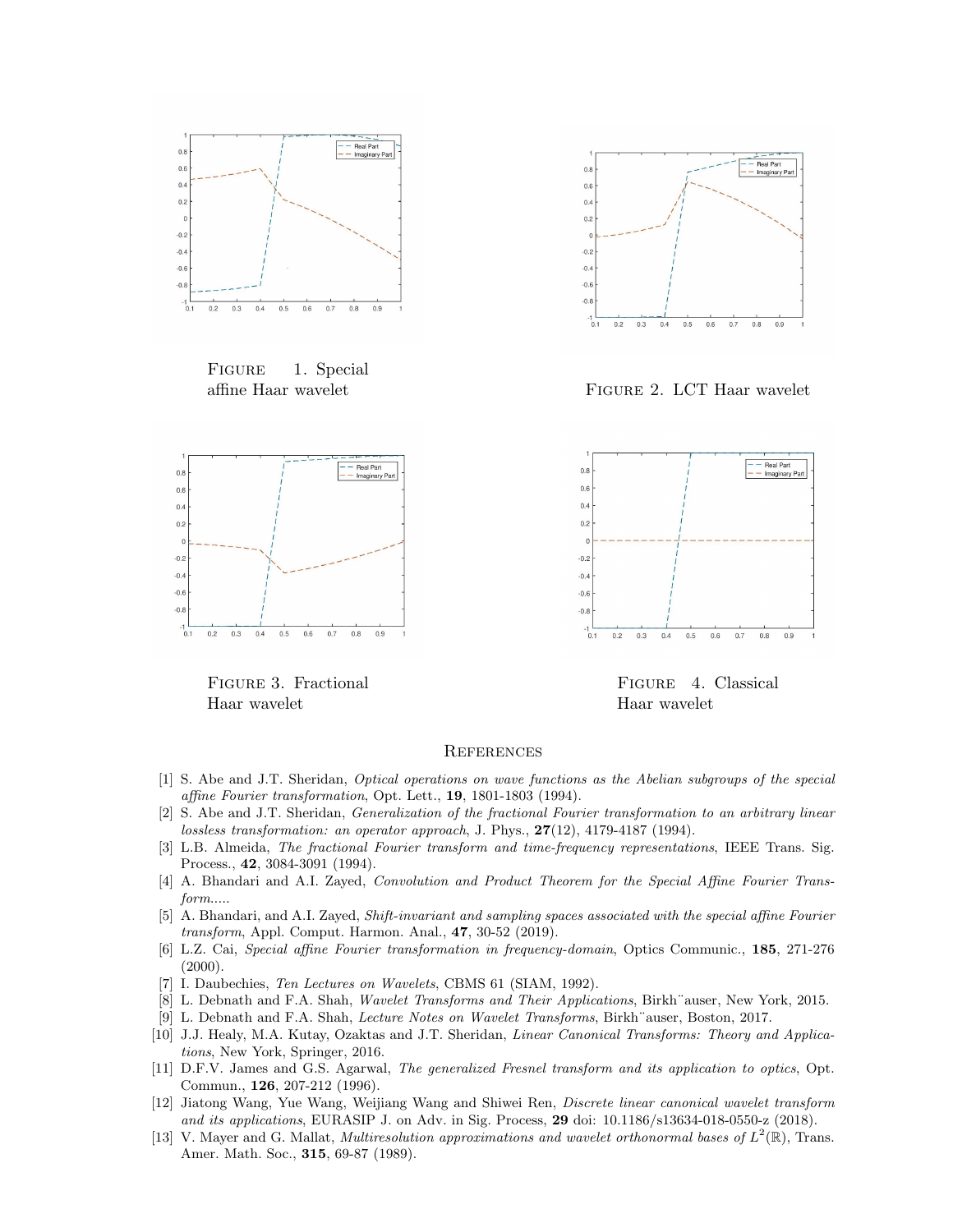

FIGURE 1. Special



affine Haar wavelet Figure 2. LCT Haar wavelet



Figure 3. Fractional Haar wavelet



Figure 4. Classical Haar wavelet

#### **REFERENCES**

- <span id="page-23-0"></span>[1] S. Abe and J.T. Sheridan, Optical operations on wave functions as the Abelian subgroups of the special affine Fourier transformation, Opt. Lett., 19, 1801-1803 (1994).
- <span id="page-23-1"></span>[2] S. Abe and J.T. Sheridan, Generalization of the fractional Fourier transformation to an arbitrary linear lossless transformation: an operator approach, J. Phys.,  $27(12)$ , 4179-4187 (1994).
- <span id="page-23-4"></span>[3] L.B. Almeida, The fractional Fourier transform and time-frequency representations, IEEE Trans. Sig. Process., 42, 3084-3091 (1994).
- <span id="page-23-8"></span>[4] A. Bhandari and A.I. Zayed, Convolution and Product Theorem for the Special Affine Fourier Transform.....
- <span id="page-23-9"></span>[5] A. Bhandari, and A.I. Zayed, Shift-invariant and sampling spaces associated with the special affine Fourier transform, Appl. Comput. Harmon. Anal., 47, 30-52 (2019).
- <span id="page-23-7"></span>[6] L.Z. Cai, Special affine Fourier transformation in frequency-domain, Optics Communic., 185, 271-276  $(2000).$
- <span id="page-23-11"></span>[7] I. Daubechies, Ten Lectures on Wavelets, CBMS 61 (SIAM, 1992).
- <span id="page-23-2"></span>[8] L. Debnath and F.A. Shah, Wavelet Transforms and Their Applications, Birkh¨auser, New York, 2015.
- <span id="page-23-3"></span>[9] L. Debnath and F.A. Shah, Lecture Notes on Wavelet Transforms, Birkh¨auser, Boston, 2017.
- <span id="page-23-5"></span>[10] J.J. Healy, M.A. Kutay, Ozaktas and J.T. Sheridan, Linear Canonical Transforms: Theory and Applications, New York, Springer, 2016.
- <span id="page-23-6"></span>[11] D.F.V. James and G.S. Agarwal, The generalized Fresnel transform and its application to optics, Opt. Commun., 126, 207-212 (1996).
- <span id="page-23-12"></span>[12] Jiatong Wang, Yue Wang, Weijiang Wang and Shiwei Ren, Discrete linear canonical wavelet transform and its applications, EURASIP J. on Adv. in Sig. Process, 29 doi: 10.1186/s13634-018-0550-z (2018).
- <span id="page-23-10"></span>[13] V. Mayer and G. Mallat, *Multiresolution approximations and wavelet orthonormal bases of*  $L^2(\mathbb{R})$ , Trans. Amer. Math. Soc., 315, 69-87 (1989).